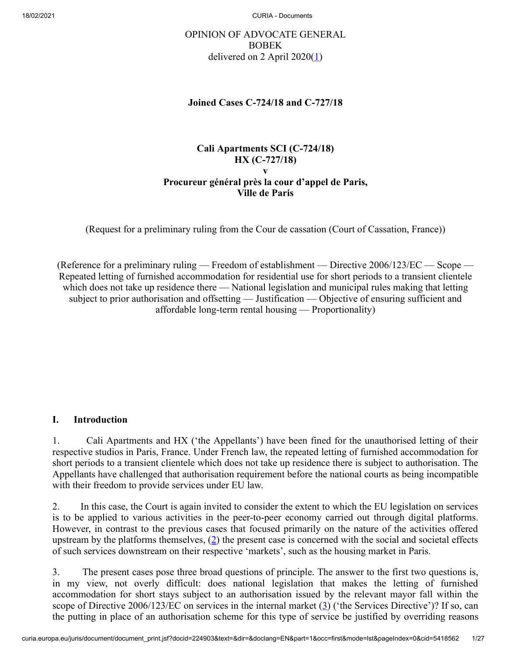# <span id="page-0-0"></span>OPINION OF ADVOCATE GENERAL BOBEK delivered on 2 April  $2020(\underline{1})$

#### **Joined Cases C‑724/18 and C‑727/18**

### **Cali Apartments SCI (C‑724/18) HX (C‑727/18) v Procureur général près la cour d'appel de Paris, Ville de Paris**

(Request for a preliminary ruling from the Cour de cassation (Court of Cassation, France))

(Reference for a preliminary ruling — Freedom of establishment — Directive  $2006/123/EC$  — Scope — Repeated letting of furnished accommodation for residential use for short periods to a transient clientele which does not take up residence there — National legislation and municipal rules making that letting subject to prior authorisation and offsetting — Justification — Objective of ensuring sufficient and affordable long-term rental housing — Proportionality)

#### **I. Introduction**

1. Cali Apartments and HX ('the Appellants') have been fined for the unauthorised letting of their respective studios in Paris, France. Under French law, the repeated letting of furnished accommodation for short periods to a transient clientele which does not take up residence there is subject to authorisation. The Appellants have challenged that authorisation requirement before the national courts as being incompatible with their freedom to provide services under EU law.

<span id="page-0-1"></span>2. In this case, the Court is again invited to consider the extent to which the EU legislation on services is to be applied to various activities in the peer-to-peer economy carried out through digital platforms. However, in contrast to the previous cases that focused primarily on the nature of the activities offered upstream by the platforms themselves,  $(2)$  $(2)$  the present case is concerned with the social and societal effects of such services downstream on their respective 'markets', such as the housing market in Paris.

<span id="page-0-2"></span>3. The present cases pose three broad questions of principle. The answer to the first two questions is, in my view, not overly difficult: does national legislation that makes the letting of furnished accommodation for short stays subject to an authorisation issued by the relevant mayor fall within the scope of Directive 2006/123/EC on services in the internal market  $(3)$  $(3)$  ('the Services Directive')? If so, can the putting in place of an authorisation scheme for this type of service be justified by overriding reasons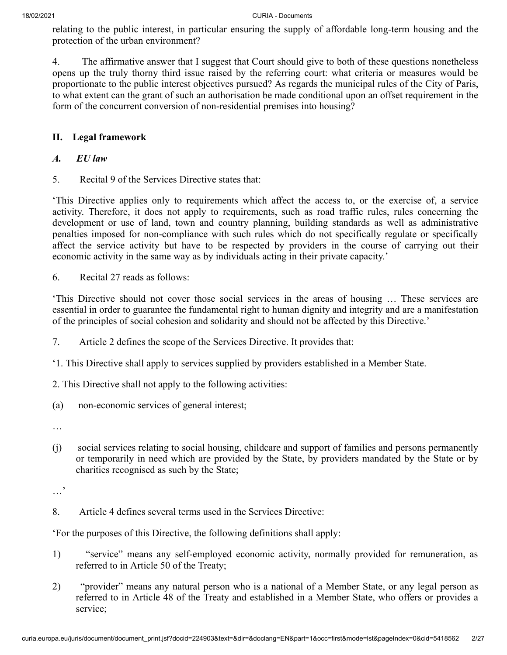relating to the public interest, in particular ensuring the supply of affordable long-term housing and the protection of the urban environment?

4. The affirmative answer that I suggest that Court should give to both of these questions nonetheless opens up the truly thorny third issue raised by the referring court: what criteria or measures would be proportionate to the public interest objectives pursued? As regards the municipal rules of the City of Paris, to what extent can the grant of such an authorisation be made conditional upon an offset requirement in the form of the concurrent conversion of non-residential premises into housing?

# **II. Legal framework**

## *A. EU law*

5. Recital 9 of the Services Directive states that:

'This Directive applies only to requirements which affect the access to, or the exercise of, a service activity. Therefore, it does not apply to requirements, such as road traffic rules, rules concerning the development or use of land, town and country planning, building standards as well as administrative penalties imposed for non-compliance with such rules which do not specifically regulate or specifically affect the service activity but have to be respected by providers in the course of carrying out their economic activity in the same way as by individuals acting in their private capacity.'

6. Recital 27 reads as follows:

'This Directive should not cover those social services in the areas of housing … These services are essential in order to guarantee the fundamental right to human dignity and integrity and are a manifestation of the principles of social cohesion and solidarity and should not be affected by this Directive.'

- 7. Article 2 defines the scope of the Services Directive. It provides that:
- '1. This Directive shall apply to services supplied by providers established in a Member State.
- 2. This Directive shall not apply to the following activities:
- (a) non-economic services of general interest;
- …
- (j) social services relating to social housing, childcare and support of families and persons permanently or temporarily in need which are provided by the State, by providers mandated by the State or by charities recognised as such by the State;

…'

8. Article 4 defines several terms used in the Services Directive:

'For the purposes of this Directive, the following definitions shall apply:

- 1) "service" means any self-employed economic activity, normally provided for remuneration, as referred to in Article 50 of the Treaty;
- 2) "provider" means any natural person who is a national of a Member State, or any legal person as referred to in Article 48 of the Treaty and established in a Member State, who offers or provides a service;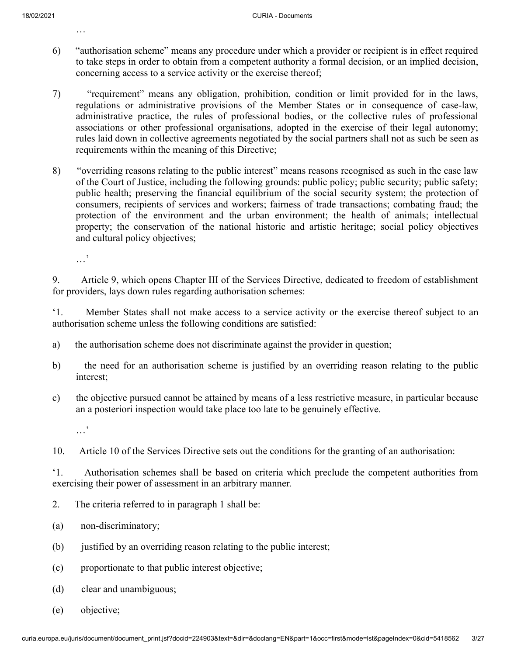…

- 6) "authorisation scheme" means any procedure under which a provider or recipient is in effect required to take steps in order to obtain from a competent authority a formal decision, or an implied decision, concerning access to a service activity or the exercise thereof;
- 7) "requirement" means any obligation, prohibition, condition or limit provided for in the laws, regulations or administrative provisions of the Member States or in consequence of case-law, administrative practice, the rules of professional bodies, or the collective rules of professional associations or other professional organisations, adopted in the exercise of their legal autonomy; rules laid down in collective agreements negotiated by the social partners shall not as such be seen as requirements within the meaning of this Directive;
- 8) "overriding reasons relating to the public interest" means reasons recognised as such in the case law of the Court of Justice, including the following grounds: public policy; public security; public safety; public health; preserving the financial equilibrium of the social security system; the protection of consumers, recipients of services and workers; fairness of trade transactions; combating fraud; the protection of the environment and the urban environment; the health of animals; intellectual property; the conservation of the national historic and artistic heritage; social policy objectives and cultural policy objectives;

…'

9. Article 9, which opens Chapter III of the Services Directive, dedicated to freedom of establishment for providers, lays down rules regarding authorisation schemes:

'1. Member States shall not make access to a service activity or the exercise thereof subject to an authorisation scheme unless the following conditions are satisfied:

- a) the authorisation scheme does not discriminate against the provider in question;
- b) the need for an authorisation scheme is justified by an overriding reason relating to the public interest;
- c) the objective pursued cannot be attained by means of a less restrictive measure, in particular because an a posteriori inspection would take place too late to be genuinely effective.

…'

'1. Authorisation schemes shall be based on criteria which preclude the competent authorities from exercising their power of assessment in an arbitrary manner.

- 2. The criteria referred to in paragraph 1 shall be:
- (a) non-discriminatory;
- (b) justified by an overriding reason relating to the public interest;
- (c) proportionate to that public interest objective;
- (d) clear and unambiguous;
- (e) objective;

<sup>10.</sup> Article 10 of the Services Directive sets out the conditions for the granting of an authorisation: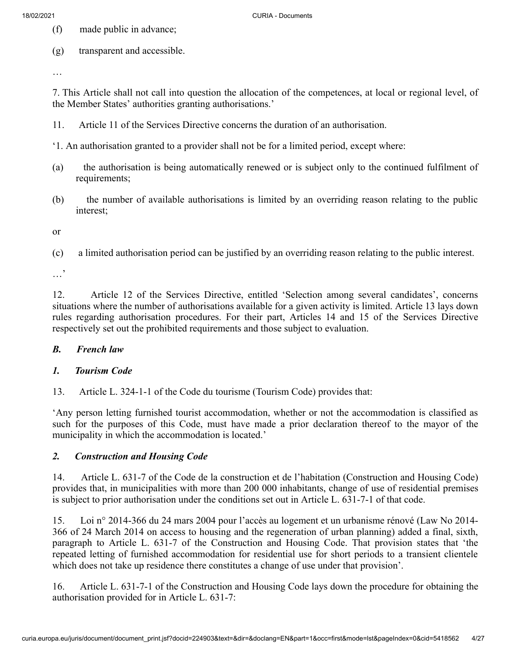- (f) made public in advance;
- (g) transparent and accessible.

…

7. This Article shall not call into question the allocation of the competences, at local or regional level, of the Member States' authorities granting authorisations.'

- 11. Article 11 of the Services Directive concerns the duration of an authorisation.
- '1. An authorisation granted to a provider shall not be for a limited period, except where:
- (a) the authorisation is being automatically renewed or is subject only to the continued fulfilment of requirements;
- (b) the number of available authorisations is limited by an overriding reason relating to the public interest;

or

(c) a limited authorisation period can be justified by an overriding reason relating to the public interest.

…'

12. Article 12 of the Services Directive, entitled 'Selection among several candidates', concerns situations where the number of authorisations available for a given activity is limited. Article 13 lays down rules regarding authorisation procedures. For their part, Articles 14 and 15 of the Services Directive respectively set out the prohibited requirements and those subject to evaluation.

#### *B. French law*

#### *1. Tourism Code*

13. Article L. 324-1-1 of the Code du tourisme (Tourism Code) provides that:

'Any person letting furnished tourist accommodation, whether or not the accommodation is classified as such for the purposes of this Code, must have made a prior declaration thereof to the mayor of the municipality in which the accommodation is located.'

#### *2. Construction and Housing Code*

14. Article L. 631-7 of the Code de la construction et de l'habitation (Construction and Housing Code) provides that, in municipalities with more than 200 000 inhabitants, change of use of residential premises is subject to prior authorisation under the conditions set out in Article L. 631-7-1 of that code.

15. Loi n° 2014-366 du 24 mars 2004 pour l'accès au logement et un urbanisme rénové (Law No 2014- 366 of 24 March 2014 on access to housing and the regeneration of urban planning) added a final, sixth, paragraph to Article L. 631-7 of the Construction and Housing Code. That provision states that 'the repeated letting of furnished accommodation for residential use for short periods to a transient clientele which does not take up residence there constitutes a change of use under that provision'.

16. Article L. 631-7-1 of the Construction and Housing Code lays down the procedure for obtaining the authorisation provided for in Article L. 631-7: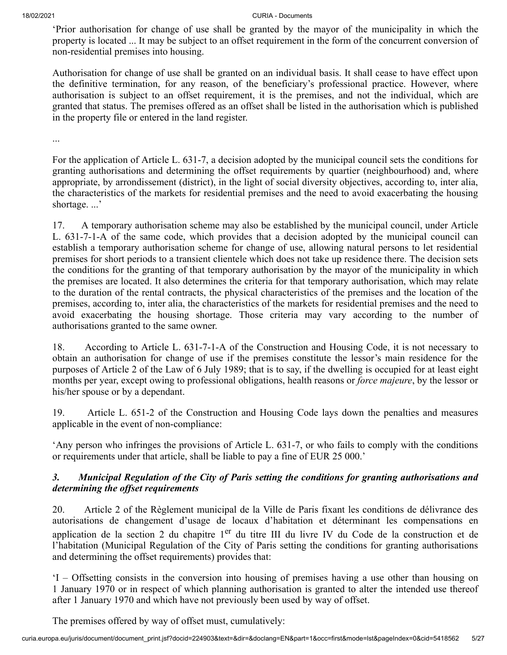'Prior authorisation for change of use shall be granted by the mayor of the municipality in which the property is located ... It may be subject to an offset requirement in the form of the concurrent conversion of non-residential premises into housing.

Authorisation for change of use shall be granted on an individual basis. It shall cease to have effect upon the definitive termination, for any reason, of the beneficiary's professional practice. However, where authorisation is subject to an offset requirement, it is the premises, and not the individual, which are granted that status. The premises offered as an offset shall be listed in the authorisation which is published in the property file or entered in the land register.

...

For the application of Article L. 631-7, a decision adopted by the municipal council sets the conditions for granting authorisations and determining the offset requirements by quartier (neighbourhood) and, where appropriate, by arrondissement (district), in the light of social diversity objectives, according to, inter alia, the characteristics of the markets for residential premises and the need to avoid exacerbating the housing shortage. ...'

17. A temporary authorisation scheme may also be established by the municipal council, under Article L. 631-7-1-A of the same code, which provides that a decision adopted by the municipal council can establish a temporary authorisation scheme for change of use, allowing natural persons to let residential premises for short periods to a transient clientele which does not take up residence there. The decision sets the conditions for the granting of that temporary authorisation by the mayor of the municipality in which the premises are located. It also determines the criteria for that temporary authorisation, which may relate to the duration of the rental contracts, the physical characteristics of the premises and the location of the premises, according to, inter alia, the characteristics of the markets for residential premises and the need to avoid exacerbating the housing shortage. Those criteria may vary according to the number of authorisations granted to the same owner.

18. According to Article L. 631-7-1-A of the Construction and Housing Code, it is not necessary to obtain an authorisation for change of use if the premises constitute the lessor's main residence for the purposes of Article 2 of the Law of 6 July 1989; that is to say, if the dwelling is occupied for at least eight months per year, except owing to professional obligations, health reasons or *force majeure*, by the lessor or his/her spouse or by a dependant.

19. Article L. 651-2 of the Construction and Housing Code lays down the penalties and measures applicable in the event of non-compliance:

'Any person who infringes the provisions of Article L. 631-7, or who fails to comply with the conditions or requirements under that article, shall be liable to pay a fine of EUR 25 000.'

## *3. Municipal Regulation of the City of Paris setting the conditions for granting authorisations and determining the offset requirements*

20. Article 2 of the Règlement municipal de la Ville de Paris fixant les conditions de délivrance des autorisations de changement d'usage de locaux d'habitation et déterminant les compensations en application de la section 2 du chapitre 1<sup>er</sup> du titre III du livre IV du Code de la construction et de l'habitation (Municipal Regulation of the City of Paris setting the conditions for granting authorisations and determining the offset requirements) provides that:

'I – Offsetting consists in the conversion into housing of premises having a use other than housing on 1 January 1970 or in respect of which planning authorisation is granted to alter the intended use thereof after 1 January 1970 and which have not previously been used by way of offset.

The premises offered by way of offset must, cumulatively: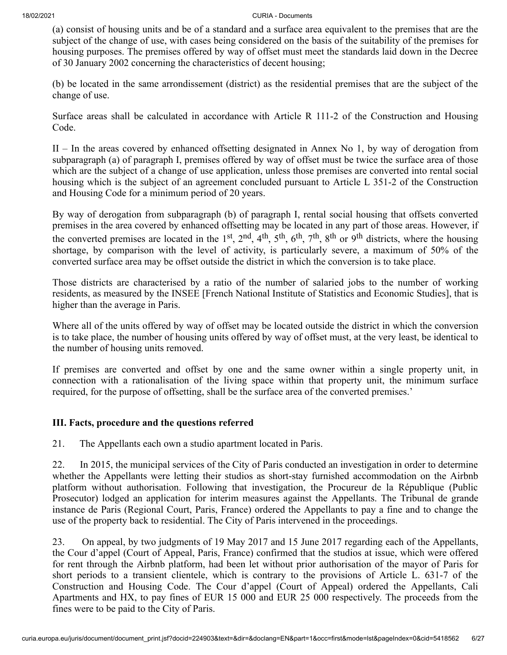(a) consist of housing units and be of a standard and a surface area equivalent to the premises that are the subject of the change of use, with cases being considered on the basis of the suitability of the premises for housing purposes. The premises offered by way of offset must meet the standards laid down in the Decree of 30 January 2002 concerning the characteristics of decent housing;

(b) be located in the same arrondissement (district) as the residential premises that are the subject of the change of use.

Surface areas shall be calculated in accordance with Article R 111-2 of the Construction and Housing Code.

II – In the areas covered by enhanced offsetting designated in Annex No 1, by way of derogation from subparagraph (a) of paragraph I, premises offered by way of offset must be twice the surface area of those which are the subject of a change of use application, unless those premises are converted into rental social housing which is the subject of an agreement concluded pursuant to Article L 351-2 of the Construction and Housing Code for a minimum period of 20 years.

By way of derogation from subparagraph (b) of paragraph I, rental social housing that offsets converted premises in the area covered by enhanced offsetting may be located in any part of those areas. However, if the converted premises are located in the 1<sup>st</sup>, 2<sup>nd</sup>, 4<sup>th</sup>, 5<sup>th</sup>, 6<sup>th</sup>, 7<sup>th</sup>, 8<sup>th</sup> or 9<sup>th</sup> districts, where the housing shortage, by comparison with the level of activity, is particularly severe, a maximum of 50% of the converted surface area may be offset outside the district in which the conversion is to take place.

Those districts are characterised by a ratio of the number of salaried jobs to the number of working residents, as measured by the INSEE [French National Institute of Statistics and Economic Studies], that is higher than the average in Paris.

Where all of the units offered by way of offset may be located outside the district in which the conversion is to take place, the number of housing units offered by way of offset must, at the very least, be identical to the number of housing units removed.

If premises are converted and offset by one and the same owner within a single property unit, in connection with a rationalisation of the living space within that property unit, the minimum surface required, for the purpose of offsetting, shall be the surface area of the converted premises.'

## **III. Facts, procedure and the questions referred**

21. The Appellants each own a studio apartment located in Paris.

22. In 2015, the municipal services of the City of Paris conducted an investigation in order to determine whether the Appellants were letting their studios as short-stay furnished accommodation on the Airbnb platform without authorisation. Following that investigation, the Procureur de la République (Public Prosecutor) lodged an application for interim measures against the Appellants. The Tribunal de grande instance de Paris (Regional Court, Paris, France) ordered the Appellants to pay a fine and to change the use of the property back to residential. The City of Paris intervened in the proceedings.

23. On appeal, by two judgments of 19 May 2017 and 15 June 2017 regarding each of the Appellants, the Cour d'appel (Court of Appeal, Paris, France) confirmed that the studios at issue, which were offered for rent through the Airbnb platform, had been let without prior authorisation of the mayor of Paris for short periods to a transient clientele, which is contrary to the provisions of Article L. 631-7 of the Construction and Housing Code. The Cour d'appel (Court of Appeal) ordered the Appellants, Cali Apartments and HX, to pay fines of EUR 15 000 and EUR 25 000 respectively. The proceeds from the fines were to be paid to the City of Paris.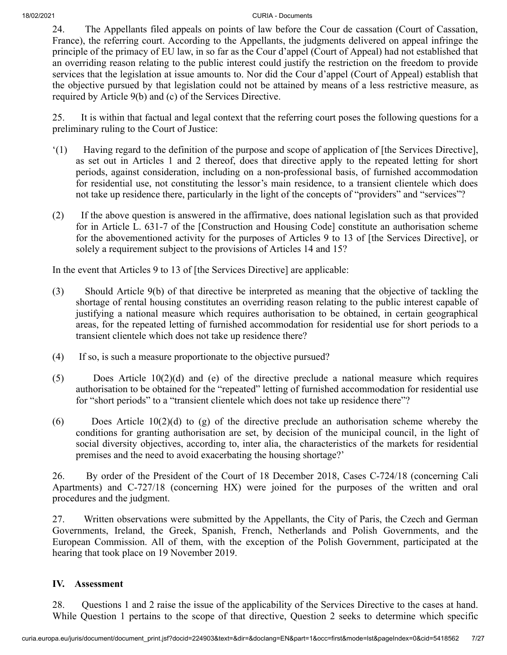24. The Appellants filed appeals on points of law before the Cour de cassation (Court of Cassation, France), the referring court. According to the Appellants, the judgments delivered on appeal infringe the principle of the primacy of EU law, in so far as the Cour d'appel (Court of Appeal) had not established that an overriding reason relating to the public interest could justify the restriction on the freedom to provide services that the legislation at issue amounts to. Nor did the Cour d'appel (Court of Appeal) establish that the objective pursued by that legislation could not be attained by means of a less restrictive measure, as required by Article 9(b) and (c) of the Services Directive.

25. It is within that factual and legal context that the referring court poses the following questions for a preliminary ruling to the Court of Justice:

- '(1) Having regard to the definition of the purpose and scope of application of [the Services Directive], as set out in Articles 1 and 2 thereof, does that directive apply to the repeated letting for short periods, against consideration, including on a non-professional basis, of furnished accommodation for residential use, not constituting the lessor's main residence, to a transient clientele which does not take up residence there, particularly in the light of the concepts of "providers" and "services"?
- (2) If the above question is answered in the affirmative, does national legislation such as that provided for in Article L. 631-7 of the [Construction and Housing Code] constitute an authorisation scheme for the abovementioned activity for the purposes of Articles 9 to 13 of [the Services Directive], or solely a requirement subject to the provisions of Articles 14 and 15?

In the event that Articles 9 to 13 of [the Services Directive] are applicable:

- (3) Should Article 9(b) of that directive be interpreted as meaning that the objective of tackling the shortage of rental housing constitutes an overriding reason relating to the public interest capable of justifying a national measure which requires authorisation to be obtained, in certain geographical areas, for the repeated letting of furnished accommodation for residential use for short periods to a transient clientele which does not take up residence there?
- (4) If so, is such a measure proportionate to the objective pursued?
- (5) Does Article 10(2)(d) and (e) of the directive preclude a national measure which requires authorisation to be obtained for the "repeated" letting of furnished accommodation for residential use for "short periods" to a "transient clientele which does not take up residence there"?
- $(6)$  Does Article 10(2)(d) to (g) of the directive preclude an authorisation scheme whereby the conditions for granting authorisation are set, by decision of the municipal council, in the light of social diversity objectives, according to, inter alia, the characteristics of the markets for residential premises and the need to avoid exacerbating the housing shortage?'

26. By order of the President of the Court of 18 December 2018, Cases C‑724/18 (concerning Cali Apartments) and C‑727/18 (concerning HX) were joined for the purposes of the written and oral procedures and the judgment.

27. Written observations were submitted by the Appellants, the City of Paris, the Czech and German Governments, Ireland, the Greek, Spanish, French, Netherlands and Polish Governments, and the European Commission. All of them, with the exception of the Polish Government, participated at the hearing that took place on 19 November 2019.

## **IV. Assessment**

28. Questions 1 and 2 raise the issue of the applicability of the Services Directive to the cases at hand. While Question 1 pertains to the scope of that directive, Question 2 seeks to determine which specific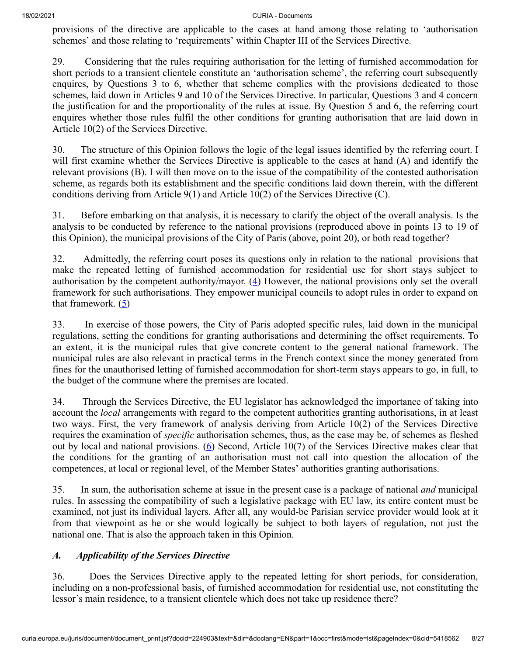provisions of the directive are applicable to the cases at hand among those relating to 'authorisation schemes' and those relating to 'requirements' within Chapter III of the Services Directive.

29. Considering that the rules requiring authorisation for the letting of furnished accommodation for short periods to a transient clientele constitute an 'authorisation scheme', the referring court subsequently enquires, by Questions 3 to 6, whether that scheme complies with the provisions dedicated to those schemes, laid down in Articles 9 and 10 of the Services Directive. In particular, Questions 3 and 4 concern the justification for and the proportionality of the rules at issue. By Question 5 and 6, the referring court enquires whether those rules fulfil the other conditions for granting authorisation that are laid down in Article 10(2) of the Services Directive.

30. The structure of this Opinion follows the logic of the legal issues identified by the referring court. I will first examine whether the Services Directive is applicable to the cases at hand (A) and identify the relevant provisions (B). I will then move on to the issue of the compatibility of the contested authorisation scheme, as regards both its establishment and the specific conditions laid down therein, with the different conditions deriving from Article 9(1) and Article 10(2) of the Services Directive (C).

31. Before embarking on that analysis, it is necessary to clarify the object of the overall analysis. Is the analysis to be conducted by reference to the national provisions (reproduced above in points 13 to 19 of this Opinion), the municipal provisions of the City of Paris (above, point 20), or both read together?

<span id="page-7-0"></span>32. Admittedly, the referring court poses its questions only in relation to the national provisions that make the repeated letting of furnished accommodation for residential use for short stays subject to authorisation by the competent authority/mayor.  $(4)$  $(4)$  However, the national provisions only set the overall framework for such authorisations. They empower municipal councils to adopt rules in order to expand on that framework.  $(5)$  $(5)$ 

<span id="page-7-1"></span>33. In exercise of those powers, the City of Paris adopted specific rules, laid down in the municipal regulations, setting the conditions for granting authorisations and determining the offset requirements. To an extent, it is the municipal rules that give concrete content to the general national framework. The municipal rules are also relevant in practical terms in the French context since the money generated from fines for the unauthorised letting of furnished accommodation for short-term stays appears to go, in full, to the budget of the commune where the premises are located.

<span id="page-7-2"></span>34. Through the Services Directive, the EU legislator has acknowledged the importance of taking into account the *local* arrangements with regard to the competent authorities granting authorisations, in at least two ways. First, the very framework of analysis deriving from Article 10(2) of the Services Directive requires the examination of *specific* authorisation schemes, thus, as the case may be, of schemes as fleshed out by local and national provisions.  $(6)$  $(6)$  Second, Article 10(7) of the Services Directive makes clear that the conditions for the granting of an authorisation must not call into question the allocation of the competences, at local or regional level, of the Member States' authorities granting authorisations.

35. In sum, the authorisation scheme at issue in the present case is a package of national *and* municipal rules. In assessing the compatibility of such a legislative package with EU law, its entire content must be examined, not just its individual layers. After all, any would-be Parisian service provider would look at it from that viewpoint as he or she would logically be subject to both layers of regulation, not just the national one. That is also the approach taken in this Opinion.

## *A. Applicability of the Services Directive*

36. Does the Services Directive apply to the repeated letting for short periods, for consideration, including on a non-professional basis, of furnished accommodation for residential use, not constituting the lessor's main residence, to a transient clientele which does not take up residence there?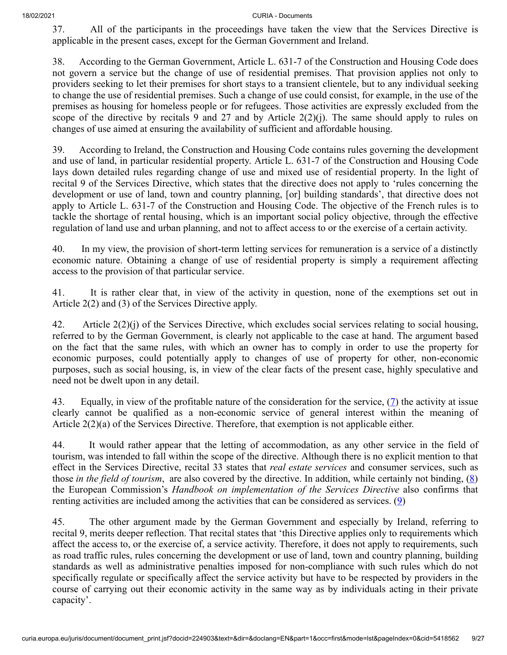37. All of the participants in the proceedings have taken the view that the Services Directive is applicable in the present cases, except for the German Government and Ireland.

38. According to the German Government, Article L. 631-7 of the Construction and Housing Code does not govern a service but the change of use of residential premises. That provision applies not only to providers seeking to let their premises for short stays to a transient clientele, but to any individual seeking to change the use of residential premises. Such a change of use could consist, for example, in the use of the premises as housing for homeless people or for refugees. Those activities are expressly excluded from the scope of the directive by recitals 9 and 27 and by Article  $2(2)(j)$ . The same should apply to rules on changes of use aimed at ensuring the availability of sufficient and affordable housing.

39. According to Ireland, the Construction and Housing Code contains rules governing the development and use of land, in particular residential property. Article L. 631-7 of the Construction and Housing Code lays down detailed rules regarding change of use and mixed use of residential property. In the light of recital 9 of the Services Directive, which states that the directive does not apply to 'rules concerning the development or use of land, town and country planning, [or] building standards', that directive does not apply to Article L. 631-7 of the Construction and Housing Code. The objective of the French rules is to tackle the shortage of rental housing, which is an important social policy objective, through the effective regulation of land use and urban planning, and not to affect access to or the exercise of a certain activity.

40. In my view, the provision of short-term letting services for remuneration is a service of a distinctly economic nature. Obtaining a change of use of residential property is simply a requirement affecting access to the provision of that particular service.

41. It is rather clear that, in view of the activity in question, none of the exemptions set out in Article 2(2) and (3) of the Services Directive apply.

42. Article  $2(2)(i)$  of the Services Directive, which excludes social services relating to social housing, referred to by the German Government, is clearly not applicable to the case at hand. The argument based on the fact that the same rules, with which an owner has to comply in order to use the property for economic purposes, could potentially apply to changes of use of property for other, non-economic purposes, such as social housing, is, in view of the clear facts of the present case, highly speculative and need not be dwelt upon in any detail.

<span id="page-8-0"></span>43. Equally, in view of the profitable nature of the consideration for the service,  $(7)$  $(7)$  the activity at issue clearly cannot be qualified as a non-economic service of general interest within the meaning of Article 2(2)(a) of the Services Directive. Therefore, that exemption is not applicable either.

<span id="page-8-1"></span>44. It would rather appear that the letting of accommodation, as any other service in the field of tourism, was intended to fall within the scope of the directive. Although there is no explicit mention to that effect in the Services Directive, recital 33 states that *real estate services* and consumer services, such as those *in the field of tourism*, are also covered by the directive. In addition, while certainly not binding, ([8\)](#page-22-4) the European Commission's *Handbook on implementation of the Services Directive* also confirms that renting activities are included among the activities that can be considered as services.  $(9)$  $(9)$ 

<span id="page-8-2"></span>45. The other argument made by the German Government and especially by Ireland, referring to recital 9, merits deeper reflection. That recital states that 'this Directive applies only to requirements which affect the access to, or the exercise of, a service activity. Therefore, it does not apply to requirements, such as road traffic rules, rules concerning the development or use of land, town and country planning, building standards as well as administrative penalties imposed for non-compliance with such rules which do not specifically regulate or specifically affect the service activity but have to be respected by providers in the course of carrying out their economic activity in the same way as by individuals acting in their private capacity'.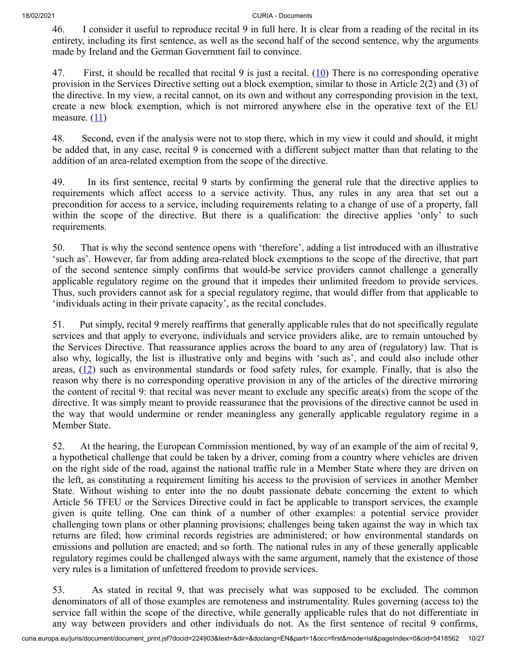46. I consider it useful to reproduce recital 9 in full here. It is clear from a reading of the recital in its entirety, including its first sentence, as well as the second half of the second sentence, why the arguments made by Ireland and the German Government fail to convince.

<span id="page-9-0"></span>47. First, it should be recalled that recital 9 is just a recital.  $(10)$  $(10)$  There is no corresponding operative provision in the Services Directive setting out a block exemption, similar to those in Article 2(2) and (3) of the directive. In my view, a recital cannot, on its own and without any corresponding provision in the text, create a new block exemption, which is not mirrored anywhere else in the operative text of the EU measure.  $(11)$ 

<span id="page-9-1"></span>48. Second, even if the analysis were not to stop there, which in my view it could and should, it might be added that, in any case, recital 9 is concerned with a different subject matter than that relating to the addition of an area-related exemption from the scope of the directive.

49. In its first sentence, recital 9 starts by confirming the general rule that the directive applies to requirements which affect access to a service activity. Thus, any rules in any area that set out a precondition for access to a service, including requirements relating to a change of use of a property, fall within the scope of the directive. But there is a qualification: the directive applies 'only' to such requirements.

50. That is why the second sentence opens with 'therefore', adding a list introduced with an illustrative 'such as'. However, far from adding area-related block exemptions to the scope of the directive, that part of the second sentence simply confirms that would-be service providers cannot challenge a generally applicable regulatory regime on the ground that it impedes their unlimited freedom to provide services. Thus, such providers cannot ask for a special regulatory regime, that would differ from that applicable to 'individuals acting in their private capacity', as the recital concludes.

<span id="page-9-2"></span>51. Put simply, recital 9 merely reaffirms that generally applicable rules that do not specifically regulate services and that apply to everyone, individuals and service providers alike, are to remain untouched by the Services Directive. That reassurance applies across the board to any area of (regulatory) law. That is also why, logically, the list is illustrative only and begins with 'such as', and could also include other areas,  $(12)$  $(12)$  such as environmental standards or food safety rules, for example. Finally, that is also the reason why there is no corresponding operative provision in any of the articles of the directive mirroring the content of recital 9: that recital was never meant to exclude any specific area(s) from the scope of the directive. It was simply meant to provide reassurance that the provisions of the directive cannot be used in the way that would undermine or render meaningless any generally applicable regulatory regime in a Member State.

52. At the hearing, the European Commission mentioned, by way of an example of the aim of recital 9, a hypothetical challenge that could be taken by a driver, coming from a country where vehicles are driven on the right side of the road, against the national traffic rule in a Member State where they are driven on the left, as constituting a requirement limiting his access to the provision of services in another Member State. Without wishing to enter into the no doubt passionate debate concerning the extent to which Article 56 TFEU or the Services Directive could in fact be applicable to transport services, the example given is quite telling. One can think of a number of other examples: a potential service provider challenging town plans or other planning provisions; challenges being taken against the way in which tax returns are filed; how criminal records registries are administered; or how environmental standards on emissions and pollution are enacted; and so forth. The national rules in any of these generally applicable regulatory regimes could be challenged always with the same argument, namely that the existence of those very rules is a limitation of unfettered freedom to provide services.

53. As stated in recital 9, that was precisely what was supposed to be excluded. The common denominators of all of those examples are remoteness and instrumentality. Rules governing (access to) the service fall within the scope of the directive, while generally applicable rules that do not differentiate in any way between providers and other individuals do not. As the first sentence of recital 9 confirms,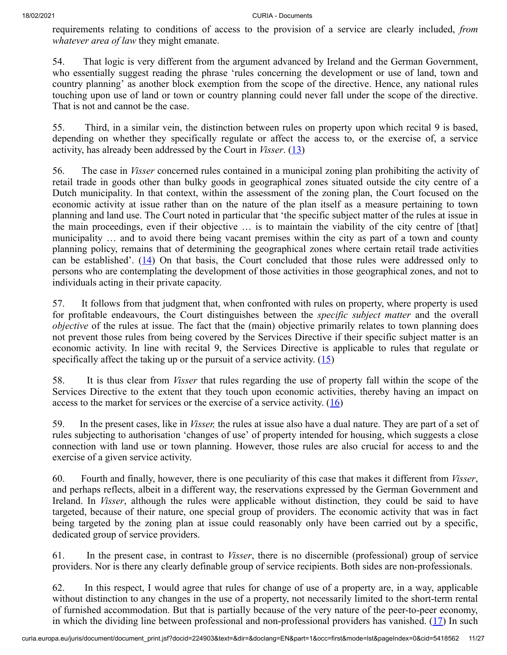requirements relating to conditions of access to the provision of a service are clearly included, *from whatever area of law* they might emanate.

54. That logic is very different from the argument advanced by Ireland and the German Government, who essentially suggest reading the phrase 'rules concerning the development or use of land, town and country planning' as another block exemption from the scope of the directive. Hence, any national rules touching upon use of land or town or country planning could never fall under the scope of the directive. That is not and cannot be the case.

55. Third, in a similar vein, the distinction between rules on property upon which recital 9 is based, depending on whether they specifically regulate or affect the access to, or the exercise of, a service activity, has already been addressed by the Court in *Visser*. [\(13](#page-22-9))

<span id="page-10-0"></span>56. The case in *Visser* concerned rules contained in a municipal zoning plan prohibiting the activity of retail trade in goods other than bulky goods in geographical zones situated outside the city centre of a Dutch municipality. In that context, within the assessment of the zoning plan, the Court focused on the economic activity at issue rather than on the nature of the plan itself as a measure pertaining to town planning and land use. The Court noted in particular that 'the specific subject matter of the rules at issue in the main proceedings, even if their objective … is to maintain the viability of the city centre of [that] municipality … and to avoid there being vacant premises within the city as part of a town and county planning policy, remains that of determining the geographical zones where certain retail trade activities can be established'.  $(14)$  $(14)$  On that basis, the Court concluded that those rules were addressed only to persons who are contemplating the development of those activities in those geographical zones, and not to individuals acting in their private capacity.

<span id="page-10-1"></span>57. It follows from that judgment that, when confronted with rules on property, where property is used for profitable endeavours, the Court distinguishes between the *specific subject matter* and the overall *objective* of the rules at issue. The fact that the (main) objective primarily relates to town planning does not prevent those rules from being covered by the Services Directive if their specific subject matter is an economic activity. In line with recital 9, the Services Directive is applicable to rules that regulate or specifically affect the taking up or the pursuit of a service activity.  $(15)$  $(15)$ 

<span id="page-10-2"></span>58. It is thus clear from *Visser* that rules regarding the use of property fall within the scope of the Services Directive to the extent that they touch upon economic activities, thereby having an impact on access to the market for services or the exercise of a service activity.  $(16)$  $(16)$ 

<span id="page-10-3"></span>59. In the present cases, like in *Visser,* the rules at issue also have a dual nature. They are part of a set of rules subjecting to authorisation 'changes of use' of property intended for housing, which suggests a close connection with land use or town planning. However, those rules are also crucial for access to and the exercise of a given service activity.

60. Fourth and finally, however, there is one peculiarity of this case that makes it different from *Visser*, and perhaps reflects, albeit in a different way, the reservations expressed by the German Government and Ireland. In *Visser*, although the rules were applicable without distinction, they could be said to have targeted, because of their nature, one special group of providers. The economic activity that was in fact being targeted by the zoning plan at issue could reasonably only have been carried out by a specific, dedicated group of service providers.

61. In the present case, in contrast to *Visser*, there is no discernible (professional) group of service providers. Nor is there any clearly definable group of service recipients. Both sides are non-professionals.

<span id="page-10-4"></span>62. In this respect, I would agree that rules for change of use of a property are, in a way, applicable without distinction to any changes in the use of a property, not necessarily limited to the short-term rental of furnished accommodation. But that is partially because of the very nature of the peer-to-peer economy, in which the dividing line between professional and non-professional providers has vanished.  $(17)$  $(17)$  In such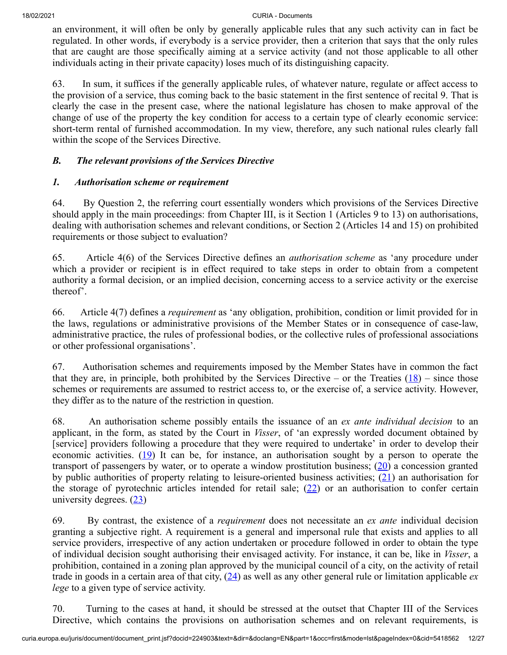an environment, it will often be only by generally applicable rules that any such activity can in fact be regulated. In other words, if everybody is a service provider, then a criterion that says that the only rules that are caught are those specifically aiming at a service activity (and not those applicable to all other individuals acting in their private capacity) loses much of its distinguishing capacity.

63. In sum, it suffices if the generally applicable rules, of whatever nature, regulate or affect access to the provision of a service, thus coming back to the basic statement in the first sentence of recital 9. That is clearly the case in the present case, where the national legislature has chosen to make approval of the change of use of the property the key condition for access to a certain type of clearly economic service: short-term rental of furnished accommodation. In my view, therefore, any such national rules clearly fall within the scope of the Services Directive.

## *B. The relevant provisions of the Services Directive*

## *1. Authorisation scheme or requirement*

64. By Question 2, the referring court essentially wonders which provisions of the Services Directive should apply in the main proceedings: from Chapter III, is it Section 1 (Articles 9 to 13) on authorisations, dealing with authorisation schemes and relevant conditions, or Section 2 (Articles 14 and 15) on prohibited requirements or those subject to evaluation?

65. Article 4(6) of the Services Directive defines an *authorisation scheme* as 'any procedure under which a provider or recipient is in effect required to take steps in order to obtain from a competent authority a formal decision, or an implied decision, concerning access to a service activity or the exercise thereof'.

66. Article 4(7) defines a *requirement* as 'any obligation, prohibition, condition or limit provided for in the laws, regulations or administrative provisions of the Member States or in consequence of case-law, administrative practice, the rules of professional bodies, or the collective rules of professional associations or other professional organisations'.

<span id="page-11-0"></span>67. Authorisation schemes and requirements imposed by the Member States have in common the fact that they are, in principle, both prohibited by the Services Directive – or the Treaties  $(18)$  $(18)$  – since those schemes or requirements are assumed to restrict access to, or the exercise of, a service activity. However, they differ as to the nature of the restriction in question.

<span id="page-11-2"></span><span id="page-11-1"></span>68. An authorisation scheme possibly entails the issuance of an *ex ante individual decision* to an applicant, in the form, as stated by the Court in *Visser*, of 'an expressly worded document obtained by [service] providers following a procedure that they were required to undertake' in order to develop their economic activities.  $(19)$  $(19)$  It can be, for instance, an authorisation sought by a person to operate the transport of passengers by water, or to operate a window prostitution business;  $(20)$  $(20)$  a concession granted by public authorities of property relating to leisure-oriented business activities; [\(21](#page-23-4)) an authorisation for the storage of pyrotechnic articles intended for retail sale;  $(22)$  $(22)$  or an authorisation to confer certain university degrees.  $(23)$  $(23)$ 

<span id="page-11-5"></span><span id="page-11-4"></span><span id="page-11-3"></span>69. By contrast, the existence of a *requirement* does not necessitate an *ex ante* individual decision granting a subjective right. A requirement is a general and impersonal rule that exists and applies to all service providers, irrespective of any action undertaken or procedure followed in order to obtain the type of individual decision sought authorising their envisaged activity. For instance, it can be, like in *Visser*, a prohibition, contained in a zoning plan approved by the municipal council of a city, on the activity of retail trade in goods in a certain area of that city, ([24\)](#page-23-7) as well as any other general rule or limitation applicable *ex lege* to a given type of service activity.

<span id="page-11-6"></span>70. Turning to the cases at hand, it should be stressed at the outset that Chapter III of the Services Directive, which contains the provisions on authorisation schemes and on relevant requirements, is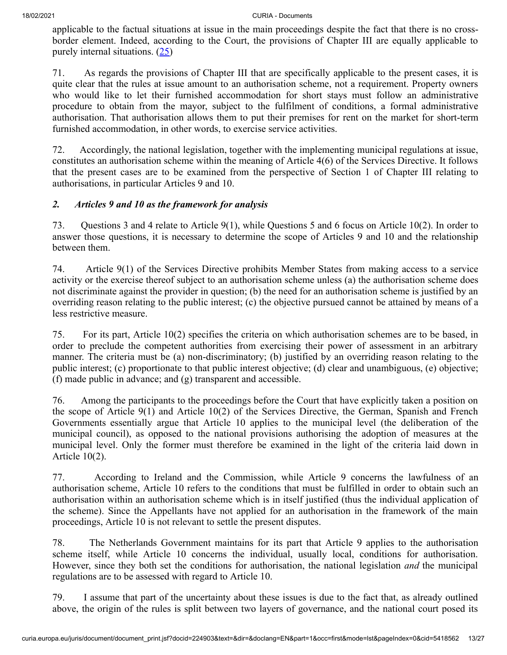<span id="page-12-0"></span>applicable to the factual situations at issue in the main proceedings despite the fact that there is no crossborder element. Indeed, according to the Court, the provisions of Chapter III are equally applicable to purely internal situations. [\(25](#page-23-8))

71. As regards the provisions of Chapter III that are specifically applicable to the present cases, it is quite clear that the rules at issue amount to an authorisation scheme, not a requirement. Property owners who would like to let their furnished accommodation for short stays must follow an administrative procedure to obtain from the mayor, subject to the fulfilment of conditions, a formal administrative authorisation. That authorisation allows them to put their premises for rent on the market for short-term furnished accommodation, in other words, to exercise service activities.

72. Accordingly, the national legislation, together with the implementing municipal regulations at issue, constitutes an authorisation scheme within the meaning of Article 4(6) of the Services Directive. It follows that the present cases are to be examined from the perspective of Section 1 of Chapter III relating to authorisations, in particular Articles 9 and 10.

## *2. Articles 9 and 10 as the framework for analysis*

73. Questions 3 and 4 relate to Article 9(1), while Questions 5 and 6 focus on Article 10(2). In order to answer those questions, it is necessary to determine the scope of Articles 9 and 10 and the relationship between them.

74. Article 9(1) of the Services Directive prohibits Member States from making access to a service activity or the exercise thereof subject to an authorisation scheme unless (a) the authorisation scheme does not discriminate against the provider in question; (b) the need for an authorisation scheme is justified by an overriding reason relating to the public interest; (c) the objective pursued cannot be attained by means of a less restrictive measure.

75. For its part, Article 10(2) specifies the criteria on which authorisation schemes are to be based, in order to preclude the competent authorities from exercising their power of assessment in an arbitrary manner. The criteria must be (a) non-discriminatory; (b) justified by an overriding reason relating to the public interest; (c) proportionate to that public interest objective; (d) clear and unambiguous, (e) objective; (f) made public in advance; and (g) transparent and accessible.

76. Among the participants to the proceedings before the Court that have explicitly taken a position on the scope of Article 9(1) and Article 10(2) of the Services Directive, the German, Spanish and French Governments essentially argue that Article 10 applies to the municipal level (the deliberation of the municipal council), as opposed to the national provisions authorising the adoption of measures at the municipal level. Only the former must therefore be examined in the light of the criteria laid down in Article 10(2).

77. According to Ireland and the Commission, while Article 9 concerns the lawfulness of an authorisation scheme, Article 10 refers to the conditions that must be fulfilled in order to obtain such an authorisation within an authorisation scheme which is in itself justified (thus the individual application of the scheme). Since the Appellants have not applied for an authorisation in the framework of the main proceedings, Article 10 is not relevant to settle the present disputes.

78. The Netherlands Government maintains for its part that Article 9 applies to the authorisation scheme itself, while Article 10 concerns the individual, usually local, conditions for authorisation. However, since they both set the conditions for authorisation, the national legislation *and* the municipal regulations are to be assessed with regard to Article 10.

79. I assume that part of the uncertainty about these issues is due to the fact that, as already outlined above, the origin of the rules is split between two layers of governance, and the national court posed its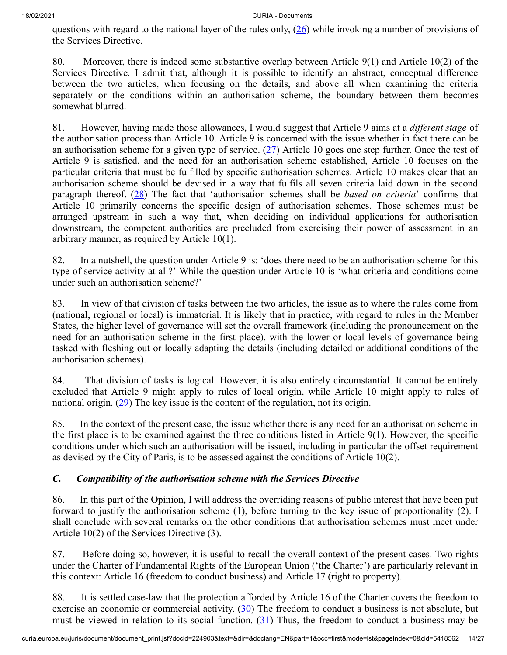<span id="page-13-0"></span>questions with regard to the national layer of the rules only, [\(26](#page-23-9)) while invoking a number of provisions of the Services Directive.

80. Moreover, there is indeed some substantive overlap between Article 9(1) and Article 10(2) of the Services Directive. I admit that, although it is possible to identify an abstract, conceptual difference between the two articles, when focusing on the details, and above all when examining the criteria separately or the conditions within an authorisation scheme, the boundary between them becomes somewhat blurred.

<span id="page-13-2"></span><span id="page-13-1"></span>81. However, having made those allowances, I would suggest that Article 9 aims at a *different stage* of the authorisation process than Article 10. Article 9 is concerned with the issue whether in fact there can be an authorisation scheme for a given type of service.  $(27)$  $(27)$  Article 10 goes one step further. Once the test of Article 9 is satisfied, and the need for an authorisation scheme established, Article 10 focuses on the particular criteria that must be fulfilled by specific authorisation schemes. Article 10 makes clear that an authorisation scheme should be devised in a way that fulfils all seven criteria laid down in the second paragraph thereof. [\(28](#page-23-11)) The fact that 'authorisation schemes shall be *based on criteria*' confirms that Article 10 primarily concerns the specific design of authorisation schemes. Those schemes must be arranged upstream in such a way that, when deciding on individual applications for authorisation downstream, the competent authorities are precluded from exercising their power of assessment in an arbitrary manner, as required by Article 10(1).

82. In a nutshell, the question under Article 9 is: 'does there need to be an authorisation scheme for this type of service activity at all?' While the question under Article 10 is 'what criteria and conditions come under such an authorisation scheme?'

83. In view of that division of tasks between the two articles, the issue as to where the rules come from (national, regional or local) is immaterial. It is likely that in practice, with regard to rules in the Member States, the higher level of governance will set the overall framework (including the pronouncement on the need for an authorisation scheme in the first place), with the lower or local levels of governance being tasked with fleshing out or locally adapting the details (including detailed or additional conditions of the authorisation schemes).

<span id="page-13-3"></span>84. That division of tasks is logical. However, it is also entirely circumstantial. It cannot be entirely excluded that Article 9 might apply to rules of local origin, while Article 10 might apply to rules of national origin.  $(29)$  $(29)$  The key issue is the content of the regulation, not its origin.

85. In the context of the present case, the issue whether there is any need for an authorisation scheme in the first place is to be examined against the three conditions listed in Article 9(1). However, the specific conditions under which such an authorisation will be issued, including in particular the offset requirement as devised by the City of Paris, is to be assessed against the conditions of Article 10(2).

## *C. Compatibility of the authorisation scheme with the Services Directive*

86. In this part of the Opinion, I will address the overriding reasons of public interest that have been put forward to justify the authorisation scheme (1), before turning to the key issue of proportionality (2). I shall conclude with several remarks on the other conditions that authorisation schemes must meet under Article 10(2) of the Services Directive (3).

87. Before doing so, however, it is useful to recall the overall context of the present cases. Two rights under the Charter of Fundamental Rights of the European Union ('the Charter') are particularly relevant in this context: Article 16 (freedom to conduct business) and Article 17 (right to property).

<span id="page-13-5"></span><span id="page-13-4"></span>88. It is settled case-law that the protection afforded by Article 16 of the Charter covers the freedom to exercise an economic or commercial activity.  $(30)$  $(30)$  The freedom to conduct a business is not absolute, but must be viewed in relation to its social function.  $(31)$  $(31)$  Thus, the freedom to conduct a business may be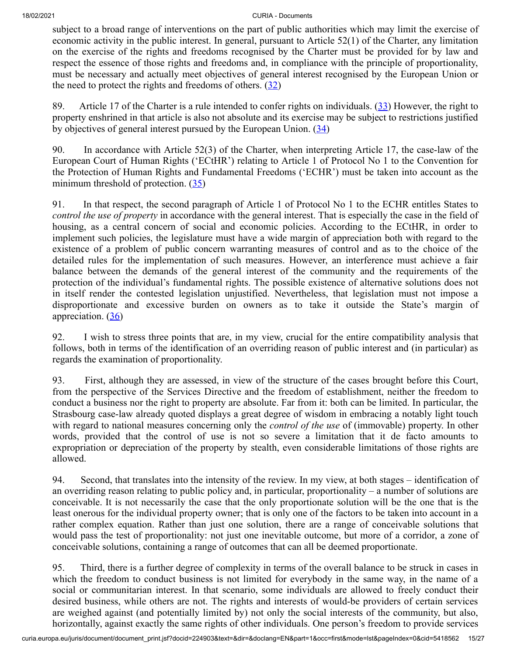subject to a broad range of interventions on the part of public authorities which may limit the exercise of economic activity in the public interest. In general, pursuant to Article 52(1) of the Charter, any limitation on the exercise of the rights and freedoms recognised by the Charter must be provided for by law and respect the essence of those rights and freedoms and, in compliance with the principle of proportionality, must be necessary and actually meet objectives of general interest recognised by the European Union or the need to protect the rights and freedoms of others.  $(32)$  $(32)$ 

<span id="page-14-2"></span><span id="page-14-1"></span><span id="page-14-0"></span>89. Article 17 of the Charter is a rule intended to confer rights on individuals. [\(33](#page-24-3)) However, the right to property enshrined in that article is also not absolute and its exercise may be subject to restrictions justified by objectives of general interest pursued by the European Union.  $(34)$  $(34)$ 

90. In accordance with Article 52(3) of the Charter, when interpreting Article 17, the case-law of the European Court of Human Rights ('ECtHR') relating to Article 1 of Protocol No 1 to the Convention for the Protection of Human Rights and Fundamental Freedoms ('ECHR') must be taken into account as the minimum threshold of protection.  $(35)$  $(35)$ 

<span id="page-14-3"></span>91. In that respect, the second paragraph of Article 1 of Protocol No 1 to the ECHR entitles States to *control the use of property* in accordance with the general interest. That is especially the case in the field of housing, as a central concern of social and economic policies. According to the ECtHR, in order to implement such policies, the legislature must have a wide margin of appreciation both with regard to the existence of a problem of public concern warranting measures of control and as to the choice of the detailed rules for the implementation of such measures. However, an interference must achieve a fair balance between the demands of the general interest of the community and the requirements of the protection of the individual's fundamental rights. The possible existence of alternative solutions does not in itself render the contested legislation unjustified. Nevertheless, that legislation must not impose a disproportionate and excessive burden on owners as to take it outside the State's margin of appreciation.  $(36)$  $(36)$ 

<span id="page-14-4"></span>92. I wish to stress three points that are, in my view, crucial for the entire compatibility analysis that follows, both in terms of the identification of an overriding reason of public interest and (in particular) as regards the examination of proportionality.

93. First, although they are assessed, in view of the structure of the cases brought before this Court, from the perspective of the Services Directive and the freedom of establishment, neither the freedom to conduct a business nor the right to property are absolute. Far from it: both can be limited. In particular, the Strasbourg case-law already quoted displays a great degree of wisdom in embracing a notably light touch with regard to national measures concerning only the *control of the use* of (immovable) property. In other words, provided that the control of use is not so severe a limitation that it de facto amounts to expropriation or depreciation of the property by stealth, even considerable limitations of those rights are allowed.

94. Second, that translates into the intensity of the review. In my view, at both stages – identification of an overriding reason relating to public policy and, in particular, proportionality – a number of solutions are conceivable. It is not necessarily the case that the only proportionate solution will be the one that is the least onerous for the individual property owner; that is only one of the factors to be taken into account in a rather complex equation. Rather than just one solution, there are a range of conceivable solutions that would pass the test of proportionality: not just one inevitable outcome, but more of a corridor, a zone of conceivable solutions, containing a range of outcomes that can all be deemed proportionate.

95. Third, there is a further degree of complexity in terms of the overall balance to be struck in cases in which the freedom to conduct business is not limited for everybody in the same way, in the name of a social or communitarian interest. In that scenario, some individuals are allowed to freely conduct their desired business, while others are not. The rights and interests of would-be providers of certain services are weighed against (and potentially limited by) not only the social interests of the community, but also, horizontally, against exactly the same rights of other individuals. One person's freedom to provide services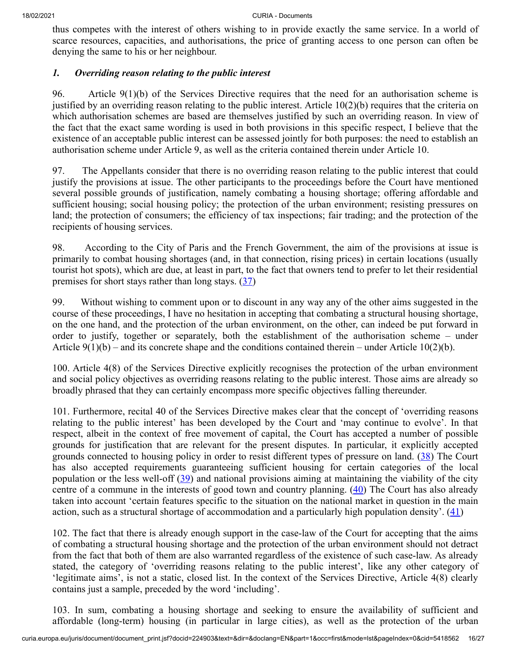thus competes with the interest of others wishing to in provide exactly the same service. In a world of scarce resources, capacities, and authorisations, the price of granting access to one person can often be denying the same to his or her neighbour.

### *1. Overriding reason relating to the public interest*

96. Article 9(1)(b) of the Services Directive requires that the need for an authorisation scheme is justified by an overriding reason relating to the public interest. Article  $10(2)(b)$  requires that the criteria on which authorisation schemes are based are themselves justified by such an overriding reason. In view of the fact that the exact same wording is used in both provisions in this specific respect, I believe that the existence of an acceptable public interest can be assessed jointly for both purposes: the need to establish an authorisation scheme under Article 9, as well as the criteria contained therein under Article 10.

97. The Appellants consider that there is no overriding reason relating to the public interest that could justify the provisions at issue. The other participants to the proceedings before the Court have mentioned several possible grounds of justification, namely combating a housing shortage; offering affordable and sufficient housing; social housing policy; the protection of the urban environment; resisting pressures on land; the protection of consumers; the efficiency of tax inspections; fair trading; and the protection of the recipients of housing services.

98. According to the City of Paris and the French Government, the aim of the provisions at issue is primarily to combat housing shortages (and, in that connection, rising prices) in certain locations (usually tourist hot spots), which are due, at least in part, to the fact that owners tend to prefer to let their residential premises for short stays rather than long stays.  $(37)$  $(37)$ 

<span id="page-15-0"></span>99. Without wishing to comment upon or to discount in any way any of the other aims suggested in the course of these proceedings, I have no hesitation in accepting that combating a structural housing shortage, on the one hand, and the protection of the urban environment, on the other, can indeed be put forward in order to justify, together or separately, both the establishment of the authorisation scheme – under Article  $9(1)(b)$  – and its concrete shape and the conditions contained therein – under Article 10(2)(b).

100. Article 4(8) of the Services Directive explicitly recognises the protection of the urban environment and social policy objectives as overriding reasons relating to the public interest. Those aims are already so broadly phrased that they can certainly encompass more specific objectives falling thereunder.

<span id="page-15-1"></span>101. Furthermore, recital 40 of the Services Directive makes clear that the concept of 'overriding reasons relating to the public interest' has been developed by the Court and 'may continue to evolve'. In that respect, albeit in the context of free movement of capital, the Court has accepted a number of possible grounds for justification that are relevant for the present disputes. In particular, it explicitly accepted grounds connected to housing policy in order to resist different types of pressure on land. [\(38](#page-24-8)) The Court has also accepted requirements guaranteeing sufficient housing for certain categories of the local population or the less well-off ([39\)](#page-24-9) and national provisions aiming at maintaining the viability of the city centre of a commune in the interests of good town and country planning.  $(40)$  $(40)$  The Court has also already taken into account 'certain features specific to the situation on the national market in question in the main action, such as a structural shortage of accommodation and a particularly high population density'.  $(41)$  $(41)$ 

<span id="page-15-4"></span><span id="page-15-3"></span><span id="page-15-2"></span>102. The fact that there is already enough support in the case-law of the Court for accepting that the aims of combating a structural housing shortage and the protection of the urban environment should not detract from the fact that both of them are also warranted regardless of the existence of such case-law. As already stated, the category of 'overriding reasons relating to the public interest', like any other category of 'legitimate aims', is not a static, closed list. In the context of the Services Directive, Article 4(8) clearly contains just a sample, preceded by the word 'including'.

103. In sum, combating a housing shortage and seeking to ensure the availability of sufficient and affordable (long-term) housing (in particular in large cities), as well as the protection of the urban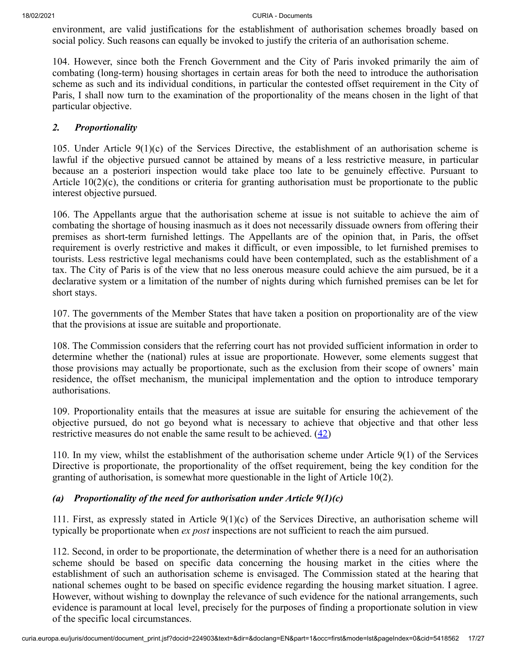environment, are valid justifications for the establishment of authorisation schemes broadly based on social policy. Such reasons can equally be invoked to justify the criteria of an authorisation scheme.

104. However, since both the French Government and the City of Paris invoked primarily the aim of combating (long-term) housing shortages in certain areas for both the need to introduce the authorisation scheme as such and its individual conditions, in particular the contested offset requirement in the City of Paris, I shall now turn to the examination of the proportionality of the means chosen in the light of that particular objective.

### *2. Proportionality*

105. Under Article 9(1)(c) of the Services Directive, the establishment of an authorisation scheme is lawful if the objective pursued cannot be attained by means of a less restrictive measure, in particular because an a posteriori inspection would take place too late to be genuinely effective. Pursuant to Article 10(2)(c), the conditions or criteria for granting authorisation must be proportionate to the public interest objective pursued.

106. The Appellants argue that the authorisation scheme at issue is not suitable to achieve the aim of combating the shortage of housing inasmuch as it does not necessarily dissuade owners from offering their premises as short-term furnished lettings. The Appellants are of the opinion that, in Paris, the offset requirement is overly restrictive and makes it difficult, or even impossible, to let furnished premises to tourists. Less restrictive legal mechanisms could have been contemplated, such as the establishment of a tax. The City of Paris is of the view that no less onerous measure could achieve the aim pursued, be it a declarative system or a limitation of the number of nights during which furnished premises can be let for short stays.

107. The governments of the Member States that have taken a position on proportionality are of the view that the provisions at issue are suitable and proportionate.

108. The Commission considers that the referring court has not provided sufficient information in order to determine whether the (national) rules at issue are proportionate. However, some elements suggest that those provisions may actually be proportionate, such as the exclusion from their scope of owners' main residence, the offset mechanism, the municipal implementation and the option to introduce temporary authorisations.

<span id="page-16-0"></span>109. Proportionality entails that the measures at issue are suitable for ensuring the achievement of the objective pursued, do not go beyond what is necessary to achieve that objective and that other less restrictive measures do not enable the same result to be achieved.  $(42)$  $(42)$ 

110. In my view, whilst the establishment of the authorisation scheme under Article 9(1) of the Services Directive is proportionate, the proportionality of the offset requirement, being the key condition for the granting of authorisation, is somewhat more questionable in the light of Article 10(2).

## *(a) Proportionality of the need for authorisation under Article 9(1)(c)*

111. First, as expressly stated in Article 9(1)(c) of the Services Directive, an authorisation scheme will typically be proportionate when *ex post* inspections are not sufficient to reach the aim pursued.

112. Second, in order to be proportionate, the determination of whether there is a need for an authorisation scheme should be based on specific data concerning the housing market in the cities where the establishment of such an authorisation scheme is envisaged. The Commission stated at the hearing that national schemes ought to be based on specific evidence regarding the housing market situation. I agree. However, without wishing to downplay the relevance of such evidence for the national arrangements, such evidence is paramount at local level, precisely for the purposes of finding a proportionate solution in view of the specific local circumstances.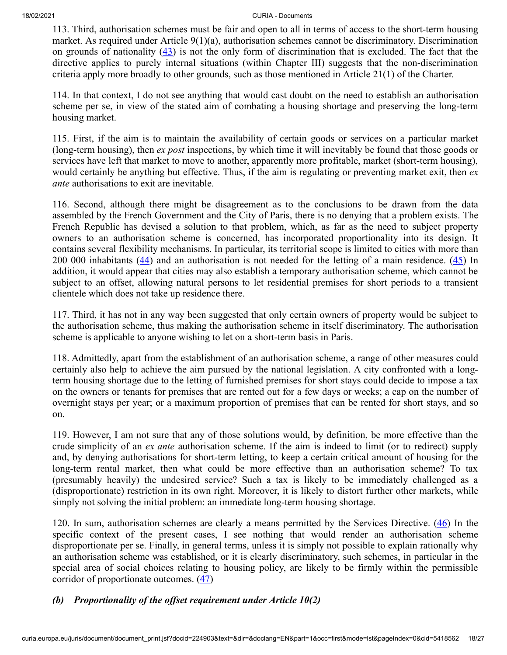<span id="page-17-0"></span>113. Third, authorisation schemes must be fair and open to all in terms of access to the short-term housing market. As required under Article 9(1)(a), authorisation schemes cannot be discriminatory. Discrimination on grounds of nationality  $(43)$  $(43)$  is not the only form of discrimination that is excluded. The fact that the directive applies to purely internal situations (within Chapter III) suggests that the non-discrimination criteria apply more broadly to other grounds, such as those mentioned in Article 21(1) of the Charter.

114. In that context, I do not see anything that would cast doubt on the need to establish an authorisation scheme per se, in view of the stated aim of combating a housing shortage and preserving the long-term housing market.

115. First, if the aim is to maintain the availability of certain goods or services on a particular market (long-term housing), then *ex post* inspections, by which time it will inevitably be found that those goods or services have left that market to move to another, apparently more profitable, market (short-term housing), would certainly be anything but effective. Thus, if the aim is regulating or preventing market exit, then *ex ante* authorisations to exit are inevitable.

<span id="page-17-2"></span><span id="page-17-1"></span>116. Second, although there might be disagreement as to the conclusions to be drawn from the data assembled by the French Government and the City of Paris, there is no denying that a problem exists. The French Republic has devised a solution to that problem, which, as far as the need to subject property owners to an authorisation scheme is concerned, has incorporated proportionality into its design. It contains several flexibility mechanisms. In particular, its territorial scope is limited to cities with more than 200 000 inhabitants  $(44)$  $(44)$  and an authorisation is not needed for the letting of a main residence.  $(45)$  $(45)$  In addition, it would appear that cities may also establish a temporary authorisation scheme, which cannot be subject to an offset, allowing natural persons to let residential premises for short periods to a transient clientele which does not take up residence there.

117. Third, it has not in any way been suggested that only certain owners of property would be subject to the authorisation scheme, thus making the authorisation scheme in itself discriminatory. The authorisation scheme is applicable to anyone wishing to let on a short-term basis in Paris.

118. Admittedly, apart from the establishment of an authorisation scheme, a range of other measures could certainly also help to achieve the aim pursued by the national legislation. A city confronted with a longterm housing shortage due to the letting of furnished premises for short stays could decide to impose a tax on the owners or tenants for premises that are rented out for a few days or weeks; a cap on the number of overnight stays per year; or a maximum proportion of premises that can be rented for short stays, and so on.

119. However, I am not sure that any of those solutions would, by definition, be more effective than the crude simplicity of an *ex ante* authorisation scheme. If the aim is indeed to limit (or to redirect) supply and, by denying authorisations for short-term letting, to keep a certain critical amount of housing for the long-term rental market, then what could be more effective than an authorisation scheme? To tax (presumably heavily) the undesired service? Such a tax is likely to be immediately challenged as a (disproportionate) restriction in its own right. Moreover, it is likely to distort further other markets, while simply not solving the initial problem: an immediate long-term housing shortage.

<span id="page-17-3"></span>120. In sum, authorisation schemes are clearly a means permitted by the Services Directive. [\(46](#page-25-6)) In the specific context of the present cases, I see nothing that would render an authorisation scheme disproportionate per se. Finally, in general terms, unless it is simply not possible to explain rationally why an authorisation scheme was established, or it is clearly discriminatory, such schemes, in particular in the special area of social choices relating to housing policy, are likely to be firmly within the permissible corridor of proportionate outcomes. ([47\)](#page-25-7)

## <span id="page-17-4"></span>*(b) Proportionality of the offset requirement under Article 10(2)*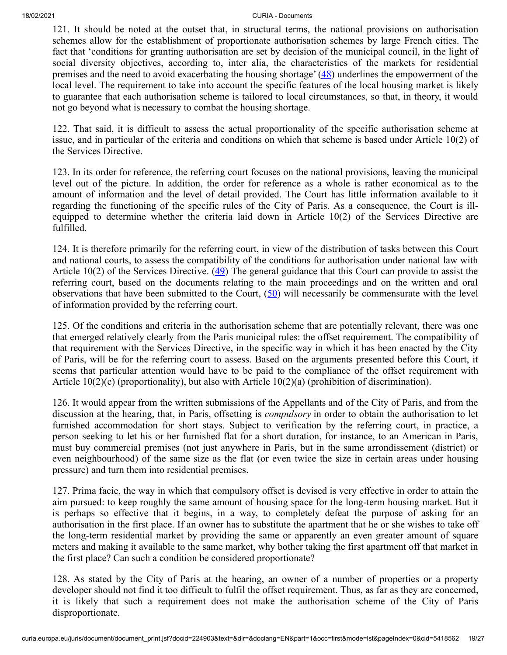<span id="page-18-0"></span>121. It should be noted at the outset that, in structural terms, the national provisions on authorisation schemes allow for the establishment of proportionate authorisation schemes by large French cities. The fact that 'conditions for granting authorisation are set by decision of the municipal council, in the light of social diversity objectives, according to, inter alia, the characteristics of the markets for residential premises and the need to avoid exacerbating the housing shortage' [\(48](#page-25-8)) underlines the empowerment of the local level. The requirement to take into account the specific features of the local housing market is likely to guarantee that each authorisation scheme is tailored to local circumstances, so that, in theory, it would not go beyond what is necessary to combat the housing shortage.

122. That said, it is difficult to assess the actual proportionality of the specific authorisation scheme at issue, and in particular of the criteria and conditions on which that scheme is based under Article 10(2) of the Services Directive.

123. In its order for reference, the referring court focuses on the national provisions, leaving the municipal level out of the picture. In addition, the order for reference as a whole is rather economical as to the amount of information and the level of detail provided. The Court has little information available to it regarding the functioning of the specific rules of the City of Paris. As a consequence, the Court is illequipped to determine whether the criteria laid down in Article 10(2) of the Services Directive are fulfilled.

<span id="page-18-1"></span>124. It is therefore primarily for the referring court, in view of the distribution of tasks between this Court and national courts, to assess the compatibility of the conditions for authorisation under national law with Article 10(2) of the Services Directive.  $(49)$  $(49)$  The general guidance that this Court can provide to assist the referring court, based on the documents relating to the main proceedings and on the written and oral observations that have been submitted to the Court,  $(50)$  $(50)$  will necessarily be commensurate with the level of information provided by the referring court.

<span id="page-18-2"></span>125. Of the conditions and criteria in the authorisation scheme that are potentially relevant, there was one that emerged relatively clearly from the Paris municipal rules: the offset requirement. The compatibility of that requirement with the Services Directive, in the specific way in which it has been enacted by the City of Paris, will be for the referring court to assess. Based on the arguments presented before this Court, it seems that particular attention would have to be paid to the compliance of the offset requirement with Article 10(2)(c) (proportionality), but also with Article 10(2)(a) (prohibition of discrimination).

126. It would appear from the written submissions of the Appellants and of the City of Paris, and from the discussion at the hearing, that, in Paris, offsetting is *compulsory* in order to obtain the authorisation to let furnished accommodation for short stays. Subject to verification by the referring court, in practice, a person seeking to let his or her furnished flat for a short duration, for instance, to an American in Paris, must buy commercial premises (not just anywhere in Paris, but in the same arrondissement (district) or even neighbourhood) of the same size as the flat (or even twice the size in certain areas under housing pressure) and turn them into residential premises.

127. Prima facie, the way in which that compulsory offset is devised is very effective in order to attain the aim pursued: to keep roughly the same amount of housing space for the long-term housing market. But it is perhaps so effective that it begins, in a way, to completely defeat the purpose of asking for an authorisation in the first place. If an owner has to substitute the apartment that he or she wishes to take off the long-term residential market by providing the same or apparently an even greater amount of square meters and making it available to the same market, why bother taking the first apartment off that market in the first place? Can such a condition be considered proportionate?

128. As stated by the City of Paris at the hearing, an owner of a number of properties or a property developer should not find it too difficult to fulfil the offset requirement. Thus, as far as they are concerned, it is likely that such a requirement does not make the authorisation scheme of the City of Paris disproportionate.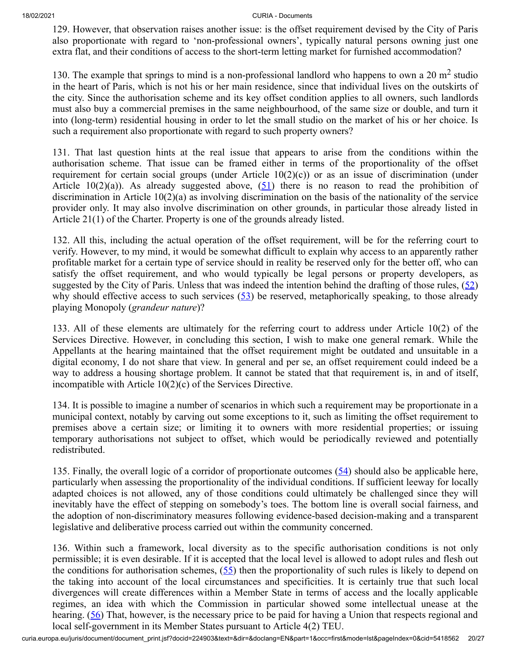129. However, that observation raises another issue: is the offset requirement devised by the City of Paris also proportionate with regard to 'non-professional owners', typically natural persons owning just one extra flat, and their conditions of access to the short-term letting market for furnished accommodation?

130. The example that springs to mind is a non-professional landlord who happens to own a 20  $m<sup>2</sup>$  studio in the heart of Paris, which is not his or her main residence, since that individual lives on the outskirts of the city. Since the authorisation scheme and its key offset condition applies to all owners, such landlords must also buy a commercial premises in the same neighbourhood, of the same size or double, and turn it into (long-term) residential housing in order to let the small studio on the market of his or her choice. Is such a requirement also proportionate with regard to such property owners?

<span id="page-19-0"></span>131. That last question hints at the real issue that appears to arise from the conditions within the authorisation scheme. That issue can be framed either in terms of the proportionality of the offset requirement for certain social groups (under Article  $10(2)(c)$ ) or as an issue of discrimination (under Article 10(2)(a)). As already suggested above,  $(51)$  $(51)$  there is no reason to read the prohibition of discrimination in Article 10(2)(a) as involving discrimination on the basis of the nationality of the service provider only. It may also involve discrimination on other grounds, in particular those already listed in Article 21(1) of the Charter. Property is one of the grounds already listed.

<span id="page-19-1"></span>132. All this, including the actual operation of the offset requirement, will be for the referring court to verify. However, to my mind, it would be somewhat difficult to explain why access to an apparently rather profitable market for a certain type of service should in reality be reserved only for the better off, who can satisfy the offset requirement, and who would typically be legal persons or property developers, as suggested by the City of Paris. Unless that was indeed the intention behind the drafting of those rules,  $(52)$  $(52)$ why should effective access to such services  $(53)$  $(53)$  be reserved, metaphorically speaking, to those already playing Monopoly (*grandeur nature*)?

<span id="page-19-2"></span>133. All of these elements are ultimately for the referring court to address under Article 10(2) of the Services Directive. However, in concluding this section, I wish to make one general remark. While the Appellants at the hearing maintained that the offset requirement might be outdated and unsuitable in a digital economy, I do not share that view. In general and per se, an offset requirement could indeed be a way to address a housing shortage problem. It cannot be stated that that requirement is, in and of itself, incompatible with Article 10(2)(c) of the Services Directive.

134. It is possible to imagine a number of scenarios in which such a requirement may be proportionate in a municipal context, notably by carving out some exceptions to it, such as limiting the offset requirement to premises above a certain size; or limiting it to owners with more residential properties; or issuing temporary authorisations not subject to offset, which would be periodically reviewed and potentially redistributed.

<span id="page-19-3"></span>135. Finally, the overall logic of a corridor of proportionate outcomes [\(54](#page-26-0)) should also be applicable here, particularly when assessing the proportionality of the individual conditions. If sufficient leeway for locally adapted choices is not allowed, any of those conditions could ultimately be challenged since they will inevitably have the effect of stepping on somebody's toes. The bottom line is overall social fairness, and the adoption of non-discriminatory measures following evidence-based decision-making and a transparent legislative and deliberative process carried out within the community concerned.

<span id="page-19-5"></span><span id="page-19-4"></span>136. Within such a framework, local diversity as to the specific authorisation conditions is not only permissible; it is even desirable. If it is accepted that the local level is allowed to adopt rules and flesh out the conditions for authorisation schemes,  $(55)$  $(55)$  then the proportionality of such rules is likely to depend on the taking into account of the local circumstances and specificities. It is certainly true that such local divergences will create differences within a Member State in terms of access and the locally applicable regimes, an idea with which the Commission in particular showed some intellectual unease at the hearing. [\(56](#page-26-2)) That, however, is the necessary price to be paid for having a Union that respects regional and local self-government in its Member States pursuant to Article 4(2) TEU.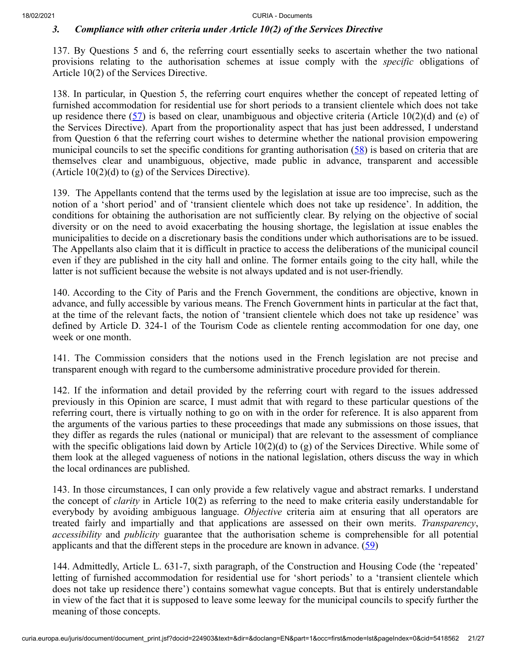#### *3. Compliance with other criteria under Article 10(2) of the Services Directive*

137. By Questions 5 and 6, the referring court essentially seeks to ascertain whether the two national provisions relating to the authorisation schemes at issue comply with the *specific* obligations of Article 10(2) of the Services Directive.

<span id="page-20-0"></span>138. In particular, in Question 5, the referring court enquires whether the concept of repeated letting of furnished accommodation for residential use for short periods to a transient clientele which does not take up residence there  $(57)$  $(57)$  is based on clear, unambiguous and objective criteria (Article 10(2)(d) and (e) of the Services Directive). Apart from the proportionality aspect that has just been addressed, I understand from Question 6 that the referring court wishes to determine whether the national provision empowering municipal councils to set the specific conditions for granting authorisation  $(58)$  $(58)$  is based on criteria that are themselves clear and unambiguous, objective, made public in advance, transparent and accessible (Article  $10(2)(d)$  to (g) of the Services Directive).

<span id="page-20-1"></span>139. The Appellants contend that the terms used by the legislation at issue are too imprecise, such as the notion of a 'short period' and of 'transient clientele which does not take up residence'. In addition, the conditions for obtaining the authorisation are not sufficiently clear. By relying on the objective of social diversity or on the need to avoid exacerbating the housing shortage, the legislation at issue enables the municipalities to decide on a discretionary basis the conditions under which authorisations are to be issued. The Appellants also claim that it is difficult in practice to access the deliberations of the municipal council even if they are published in the city hall and online. The former entails going to the city hall, while the latter is not sufficient because the website is not always updated and is not user-friendly.

140. According to the City of Paris and the French Government, the conditions are objective, known in advance, and fully accessible by various means. The French Government hints in particular at the fact that, at the time of the relevant facts, the notion of 'transient clientele which does not take up residence' was defined by Article D. 324-1 of the Tourism Code as clientele renting accommodation for one day, one week or one month.

141. The Commission considers that the notions used in the French legislation are not precise and transparent enough with regard to the cumbersome administrative procedure provided for therein.

142. If the information and detail provided by the referring court with regard to the issues addressed previously in this Opinion are scarce, I must admit that with regard to these particular questions of the referring court, there is virtually nothing to go on with in the order for reference. It is also apparent from the arguments of the various parties to these proceedings that made any submissions on those issues, that they differ as regards the rules (national or municipal) that are relevant to the assessment of compliance with the specific obligations laid down by Article 10(2)(d) to (g) of the Services Directive. While some of them look at the alleged vagueness of notions in the national legislation, others discuss the way in which the local ordinances are published.

143. In those circumstances, I can only provide a few relatively vague and abstract remarks. I understand the concept of *clarity* in Article 10(2) as referring to the need to make criteria easily understandable for everybody by avoiding ambiguous language. *Objective* criteria aim at ensuring that all operators are treated fairly and impartially and that applications are assessed on their own merits. *Transparency*, *accessibility* and *publicity* guarantee that the authorisation scheme is comprehensible for all potential applicants and that the different steps in the procedure are known in advance.  $(59)$  $(59)$ 

<span id="page-20-2"></span>144. Admittedly, Article L. 631-7, sixth paragraph, of the Construction and Housing Code (the 'repeated' letting of furnished accommodation for residential use for 'short periods' to a 'transient clientele which does not take up residence there') contains somewhat vague concepts. But that is entirely understandable in view of the fact that it is supposed to leave some leeway for the municipal councils to specify further the meaning of those concepts.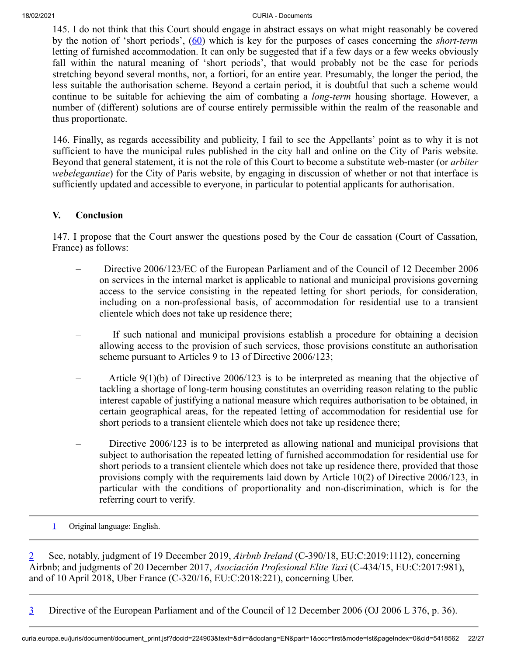<span id="page-21-3"></span>145. I do not think that this Court should engage in abstract essays on what might reasonably be covered by the notion of 'short periods', ([60\)](#page-26-6) which is key for the purposes of cases concerning the *short-term* letting of furnished accommodation. It can only be suggested that if a few days or a few weeks obviously fall within the natural meaning of 'short periods', that would probably not be the case for periods stretching beyond several months, nor, a fortiori, for an entire year. Presumably, the longer the period, the less suitable the authorisation scheme. Beyond a certain period, it is doubtful that such a scheme would continue to be suitable for achieving the aim of combating a *long-term* housing shortage. However, a number of (different) solutions are of course entirely permissible within the realm of the reasonable and thus proportionate.

146. Finally, as regards accessibility and publicity, I fail to see the Appellants' point as to why it is not sufficient to have the municipal rules published in the city hall and online on the City of Paris website. Beyond that general statement, it is not the role of this Court to become a substitute web-master (or *arbiter webelegantiae*) for the City of Paris website, by engaging in discussion of whether or not that interface is sufficiently updated and accessible to everyone, in particular to potential applicants for authorisation.

## **V. Conclusion**

147. I propose that the Court answer the questions posed by the Cour de cassation (Court of Cassation, France) as follows:

- Directive 2006/123/EC of the European Parliament and of the Council of 12 December 2006 on services in the internal market is applicable to national and municipal provisions governing access to the service consisting in the repeated letting for short periods, for consideration, including on a non-professional basis, of accommodation for residential use to a transient clientele which does not take up residence there;
- If such national and municipal provisions establish a procedure for obtaining a decision allowing access to the provision of such services, those provisions constitute an authorisation scheme pursuant to Articles 9 to 13 of Directive 2006/123;
- Article 9(1)(b) of Directive 2006/123 is to be interpreted as meaning that the objective of tackling a shortage of long-term housing constitutes an overriding reason relating to the public interest capable of justifying a national measure which requires authorisation to be obtained, in certain geographical areas, for the repeated letting of accommodation for residential use for short periods to a transient clientele which does not take up residence there;
- Directive 2006/123 is to be interpreted as allowing national and municipal provisions that subject to authorisation the repeated letting of furnished accommodation for residential use for short periods to a transient clientele which does not take up residence there, provided that those provisions comply with the requirements laid down by Article 10(2) of Directive 2006/123, in particular with the conditions of proportionality and non-discrimination, which is for the referring court to verify.
- <span id="page-21-0"></span>[1](#page-0-0) Original language: English.

<span id="page-21-1"></span>[2](#page-0-1) See, notably, judgment of 19 December 2019, *Airbnb Ireland* (C‑390/18, EU:C:2019:1112), concerning Airbnb; and judgments of 20 December 2017, *Asociación Profesional Elite Taxi* (C‑434/15, EU:C:2017:981), and of 10 April 2018, Uber France (C‑320/16, EU:C:2018:221), concerning Uber.

<span id="page-21-2"></span>[3](#page-0-2) Directive of the European Parliament and of the Council of 12 December 2006 (OJ 2006 L 376, p. 36).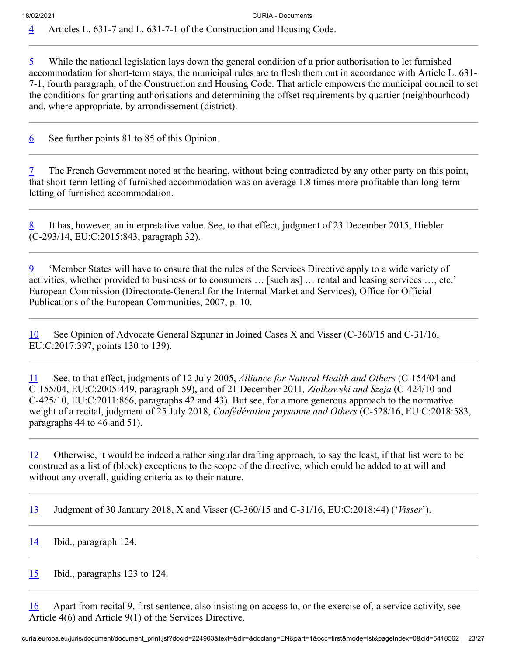<span id="page-22-1"></span><span id="page-22-0"></span> $\overline{5}$  $\overline{5}$  $\overline{5}$  While the national legislation lays down the general condition of a prior authorisation to let furnished accommodation for short-term stays, the municipal rules are to flesh them out in accordance with Article L. 631- 7-1, fourth paragraph, of the Construction and Housing Code. That article empowers the municipal council to set the conditions for granting authorisations and determining the offset requirements by quartier (neighbourhood) and, where appropriate, by arrondissement (district).

<span id="page-22-2"></span>[6](#page-7-2) See further points 81 to 85 of this Opinion.

<span id="page-22-3"></span>The French Government noted at the hearing, without being contradicted by any other party on this point, that short-term letting of furnished accommodation was on average 1.8 times more profitable than long-term letting of furnished accommodation.

<span id="page-22-4"></span>[8](#page-8-1) It has, however, an interpretative value. See, to that effect, judgment of 23 December 2015, Hiebler (C‑293/14, EU:C:2015:843, paragraph 32).

<span id="page-22-5"></span>[9](#page-8-2) 'Member States will have to ensure that the rules of the Services Directive apply to a wide variety of activities, whether provided to business or to consumers … [such as] … rental and leasing services …, etc.' European Commission (Directorate-General for the Internal Market and Services), Office for Official Publications of the European Communities, 2007, p. 10.

<span id="page-22-6"></span>[10](#page-9-0) See Opinion of Advocate General Szpunar in Joined Cases X and Visser (C‑360/15 and C‑31/16, EU:C:2017:397, points 130 to 139).

<span id="page-22-7"></span>[11](#page-9-1) See, to that effect, judgments of 12 July 2005, *Alliance for Natural Health and Others* (C‑154/04 and C‑155/04, EU:C:2005:449, paragraph 59), and of 21 December 2011*, Ziolkowski and Szeja* (C‑424/10 and C‑425/10, EU:C:2011:866, paragraphs 42 and 43). But see, for a more generous approach to the normative weight of a recital, judgment of 25 July 2018, *Confédération paysanne and Others* (C‑528/16, EU:C:2018:583, paragraphs 44 to 46 and 51).

<span id="page-22-8"></span>[12](#page-9-2) Otherwise, it would be indeed a rather singular drafting approach, to say the least, if that list were to be construed as a list of (block) exceptions to the scope of the directive, which could be added to at will and without any overall, guiding criteria as to their nature.

<span id="page-22-9"></span>[13](#page-10-0) Judgment of 30 January 2018, X and Visser (C‑360/15 and C‑31/16, EU:C:2018:44) ('*Visser*').

<span id="page-22-10"></span> $14$  Ibid., paragraph 124.

<span id="page-22-11"></span>[15](#page-10-2) Ibid., paragraphs 123 to 124.

<span id="page-22-12"></span>[16](#page-10-3) Apart from recital 9, first sentence, also insisting on access to, or the exercise of, a service activity, see Article 4(6) and Article 9(1) of the Services Directive.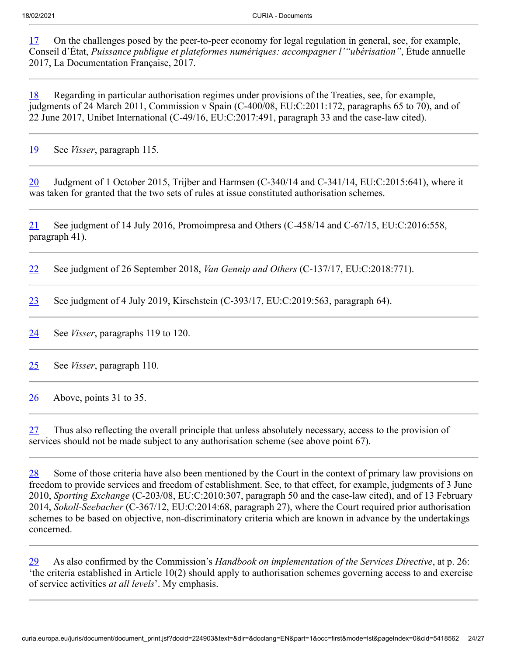<span id="page-23-0"></span>[17](#page-10-4) On the challenges posed by the peer-to-peer economy for legal regulation in general, see, for example, Conseil d'État, *Puissance publique et plateformes numériques: accompagner l'"ubérisation"*, Étude annuelle 2017, La Documentation Française, 2017.

<span id="page-23-1"></span>[18](#page-11-0) Regarding in particular authorisation regimes under provisions of the Treaties, see, for example, judgments of 24 March 2011, Commission v Spain (C-400/08, EU:C:2011:172, paragraphs 65 to 70), and of 22 June 2017, Unibet International (C‑49/16, EU:C:2017:491, paragraph 33 and the case-law cited).

<span id="page-23-2"></span>[19](#page-11-1) See *Visser*, paragraph 115.

<span id="page-23-3"></span>[20](#page-11-2) Judgment of 1 October 2015, Trijber and Harmsen (C-340/14 and C-341/14, EU:C:2015:641), where it was taken for granted that the two sets of rules at issue constituted authorisation schemes.

<span id="page-23-4"></span>[21](#page-11-3) See judgment of 14 July 2016, Promoimpresa and Others (C-458/14 and C-67/15, EU:C:2016:558, paragraph 41).

<span id="page-23-5"></span>[22](#page-11-4) See judgment of 26 September 2018, *Van Gennip and Others* (C‑137/17, EU:C:2018:771).

<span id="page-23-6"></span>[23](#page-11-5) See judgment of 4 July 2019, Kirschstein  $(C-393/17, EU:C:2019:563, paragraph 64)$ .

<span id="page-23-7"></span>[24](#page-11-6) See *Visser*, paragraphs 119 to 120.

<span id="page-23-8"></span>[25](#page-12-0) See *Visser*, paragraph 110.

<span id="page-23-9"></span> $\frac{26}{20}$  $\frac{26}{20}$  $\frac{26}{20}$  Above, points 31 to 35.

<span id="page-23-10"></span> $27$  Thus also reflecting the overall principle that unless absolutely necessary, access to the provision of services should not be made subject to any authorisation scheme (see above point 67).

<span id="page-23-11"></span>[28](#page-13-2) Some of those criteria have also been mentioned by the Court in the context of primary law provisions on freedom to provide services and freedom of establishment. See, to that effect, for example, judgments of 3 June 2010, *Sporting Exchange* (C‑203/08, EU:C:2010:307, paragraph 50 and the case-law cited), and of 13 February 2014, *Sokoll-Seebacher* (C‑367/12, EU:C:2014:68, paragraph 27), where the Court required prior authorisation schemes to be based on objective, non-discriminatory criteria which are known in advance by the undertakings concerned.

<span id="page-23-12"></span>[29](#page-13-3) As also confirmed by the Commission's *Handbook on implementation of the Services Directive*, at p. 26: 'the criteria established in Article 10(2) should apply to authorisation schemes governing access to and exercise of service activities *at all levels*'. My emphasis.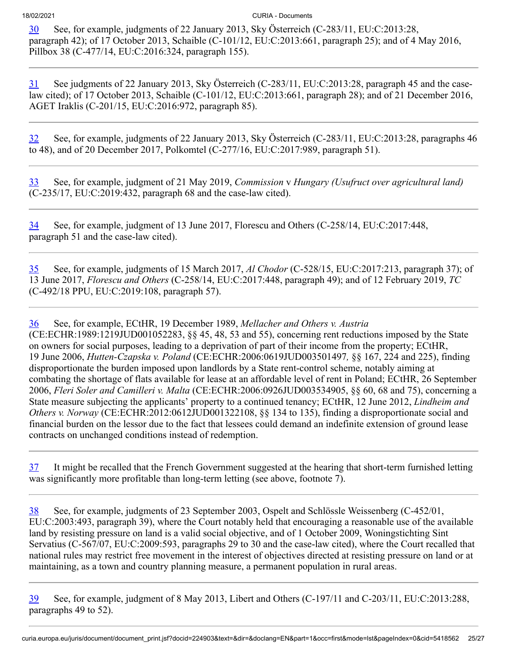<span id="page-24-0"></span>[30](#page-13-4) See, for example, judgments of 22 January 2013, Sky Österreich (C‑283/11, EU:C:2013:28, paragraph 42); of 17 October 2013, Schaible (C-101/12, EU:C:2013:661, paragraph 25); and of 4 May 2016, Pillbox 38 (C‑477/14, EU:C:2016:324, paragraph 155).

<span id="page-24-1"></span>[31](#page-13-5) See judgments of 22 January 2013, Sky Österreich (C‑283/11, EU:C:2013:28, paragraph 45 and the caselaw cited); of 17 October 2013, Schaible (C‑101/12, EU:C:2013:661, paragraph 28); and of 21 December 2016, AGET Iraklis (C‑201/15, EU:C:2016:972, paragraph 85).

<span id="page-24-2"></span>[32](#page-14-0) See, for example, judgments of 22 January 2013, Sky Österreich (C‑283/11, EU:C:2013:28, paragraphs 46 to 48), and of 20 December 2017, Polkomtel (C‑277/16, EU:C:2017:989, paragraph 51).

<span id="page-24-3"></span>[33](#page-14-1) See, for example, judgment of 21 May 2019, *Commission* v *Hungary (Usufruct over agricultural land)* (C‑235/17, EU:C:2019:432, paragraph 68 and the case-law cited).

<span id="page-24-4"></span>[34](#page-14-2) See, for example, judgment of 13 June 2017, Florescu and Others (C‑258/14, EU:C:2017:448, paragraph 51 and the case-law cited).

<span id="page-24-5"></span>[35](#page-14-3) See, for example, judgments of 15 March 2017, *Al Chodor* (C‑528/15, EU:C:2017:213, paragraph 37); of 13 June 2017, *Florescu and Others* (C‑258/14, EU:C:2017:448, paragraph 49); and of 12 February 2019, *TC* (C‑492/18 PPU, EU:C:2019:108, paragraph 57).

<span id="page-24-6"></span>[36](#page-14-4) See, for example, ECtHR, 19 December 1989, *Mellacher and Others v. Austria* (CE:ECHR:1989:1219JUD001052283, §§ 45, 48, 53 and 55), concerning rent reductions imposed by the State on owners for social purposes, leading to a deprivation of part of their income from the property; ECtHR, 19 June 2006, *Hutten-Czapska v. Poland* (CE:ECHR:2006:0619JUD003501497*,* §§ 167, 224 and 225), finding disproportionate the burden imposed upon landlords by a State rent-control scheme, notably aiming at combating the shortage of flats available for lease at an affordable level of rent in Poland; ECtHR, 26 September 2006, *Fleri Soler and Camilleri v. Malta* (CE:ECHR:2006:0926JUD003534905, §§ 60, 68 and 75), concerning a State measure subjecting the applicants' property to a continued tenancy; ECtHR, 12 June 2012, *Lindheim and Others v. Norway* (CE:ECHR:2012:0612JUD001322108, §§ 134 to 135), finding a disproportionate social and financial burden on the lessor due to the fact that lessees could demand an indefinite extension of ground lease contracts on unchanged conditions instead of redemption.

<span id="page-24-7"></span>[37](#page-15-0) It might be recalled that the French Government suggested at the hearing that short-term furnished letting was significantly more profitable than long-term letting (see above, footnote 7).

<span id="page-24-8"></span>[38](#page-15-1) See, for example, judgments of 23 September 2003, Ospelt and Schlössle Weissenberg (C‑452/01, EU:C:2003:493, paragraph 39), where the Court notably held that encouraging a reasonable use of the available land by resisting pressure on land is a valid social objective, and of 1 October 2009, Woningstichting Sint Servatius (C‑567/07, EU:C:2009:593, paragraphs 29 to 30 and the case-law cited), where the Court recalled that national rules may restrict free movement in the interest of objectives directed at resisting pressure on land or at maintaining, as a town and country planning measure, a permanent population in rural areas.

<span id="page-24-9"></span>[39](#page-15-2) See, for example, judgment of 8 May 2013, Libert and Others (C‑197/11 and C‑203/11, EU:C:2013:288, paragraphs 49 to 52).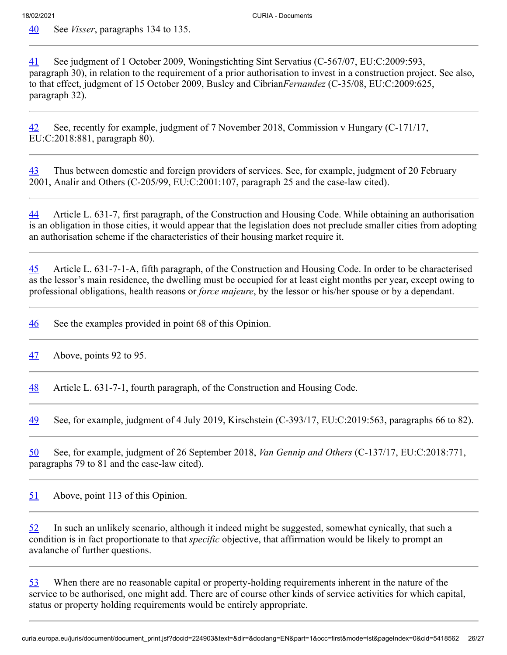<span id="page-25-0"></span>[40](#page-15-3) See *Visser*, paragraphs 134 to 135.

<span id="page-25-1"></span>[41](#page-15-4) See judgment of 1 October 2009, Woningstichting Sint Servatius (C-567/07, EU:C:2009:593, paragraph 30), in relation to the requirement of a prior authorisation to invest in a construction project. See also, to that effect, judgment of 15 October 2009, Busley and Cibrian*Fernandez* (C‑35/08, EU:C:2009:625, paragraph 32).

<span id="page-25-2"></span>[42](#page-16-0) See, recently for example, judgment of 7 November 2018, Commission v Hungary (C‑171/17, EU:C:2018:881, paragraph 80).

<span id="page-25-3"></span>[43](#page-17-0) Thus between domestic and foreign providers of services. See, for example, judgment of 20 February 2001, Analir and Others (C‑205/99, EU:C:2001:107, paragraph 25 and the case-law cited).

<span id="page-25-4"></span>[44](#page-17-1) Article L. 631-7, first paragraph, of the Construction and Housing Code. While obtaining an authorisation is an obligation in those cities, it would appear that the legislation does not preclude smaller cities from adopting an authorisation scheme if the characteristics of their housing market require it.

<span id="page-25-5"></span>[45](#page-17-2) Article L. 631-7-1-A, fifth paragraph, of the Construction and Housing Code. In order to be characterised as the lessor's main residence, the dwelling must be occupied for at least eight months per year, except owing to professional obligations, health reasons or *force majeure*, by the lessor or his/her spouse or by a dependant.

<span id="page-25-6"></span>[46](#page-17-3) See the examples provided in point 68 of this Opinion.

<span id="page-25-7"></span> $\frac{47}{10}$  $\frac{47}{10}$  $\frac{47}{10}$  Above, points 92 to 95.

<span id="page-25-8"></span>[48](#page-18-0) Article L. 631-7-1, fourth paragraph, of the Construction and Housing Code.

<span id="page-25-9"></span>[49](#page-18-1) See, for example, judgment of 4 July 2019, Kirschstein (C-393/17, EU:C:2019:563, paragraphs 66 to 82).

<span id="page-25-10"></span>[50](#page-18-2) See, for example, judgment of 26 September 2018, *Van Gennip and Others* (C‑137/17, EU:C:2018:771, paragraphs 79 to 81 and the case-law cited).

<span id="page-25-11"></span>[51](#page-19-0) Above, point 113 of this Opinion.

<span id="page-25-12"></span>[52](#page-19-1) In such an unlikely scenario, although it indeed might be suggested, somewhat cynically, that such a condition is in fact proportionate to that *specific* objective, that affirmation would be likely to prompt an avalanche of further questions.

<span id="page-25-13"></span>[53](#page-19-2) When there are no reasonable capital or property-holding requirements inherent in the nature of the service to be authorised, one might add. There are of course other kinds of service activities for which capital, status or property holding requirements would be entirely appropriate.